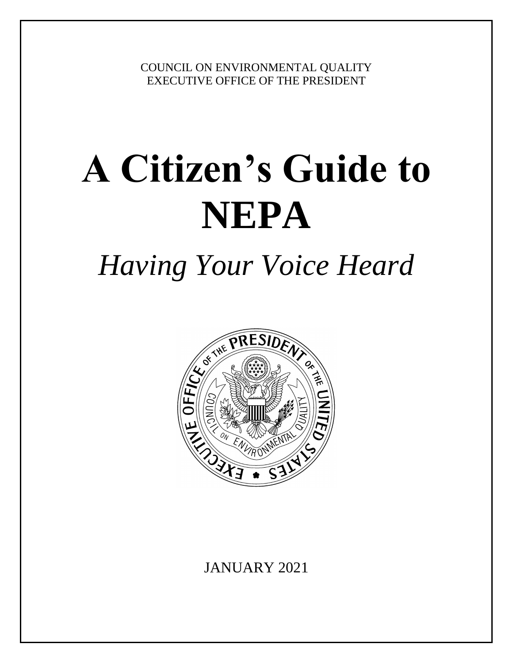COUNCIL ON ENVIRONMENTAL QUALITY EXECUTIVE OFFICE OF THE PRESIDENT

# **A Citizen's Guide to NEPA**

## *Having Your Voice Heard*



JANUARY 2021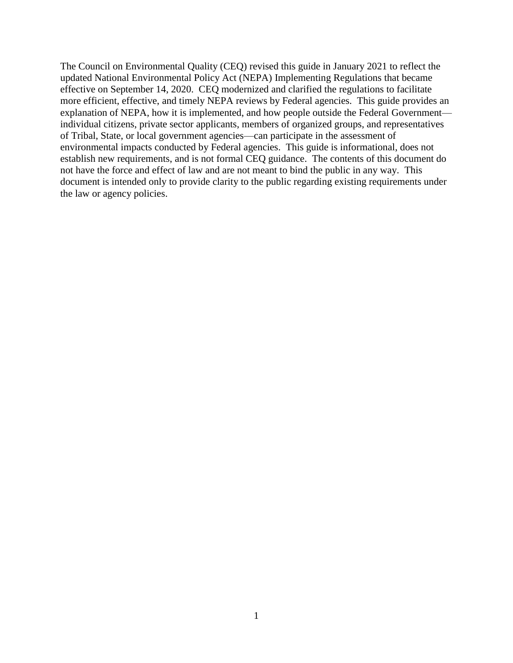The Council on Environmental Quality (CEQ) revised this guide in January 2021 to reflect the updated National Environmental Policy Act (NEPA) Implementing Regulations that became effective on September 14, 2020. CEQ modernized and clarified the regulations to facilitate more efficient, effective, and timely NEPA reviews by Federal agencies. This guide provides an explanation of NEPA, how it is implemented, and how people outside the Federal Government individual citizens, private sector applicants, members of organized groups, and representatives of Tribal, State, or local government agencies—can participate in the assessment of environmental impacts conducted by Federal agencies. This guide is informational, does not establish new requirements, and is not formal CEQ guidance. The contents of this document do not have the force and effect of law and are not meant to bind the public in any way. This document is intended only to provide clarity to the public regarding existing requirements under the law or agency policies.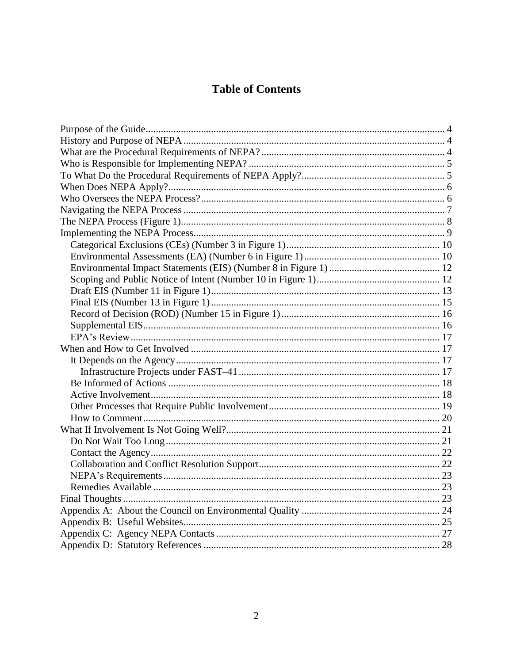## **Table of Contents**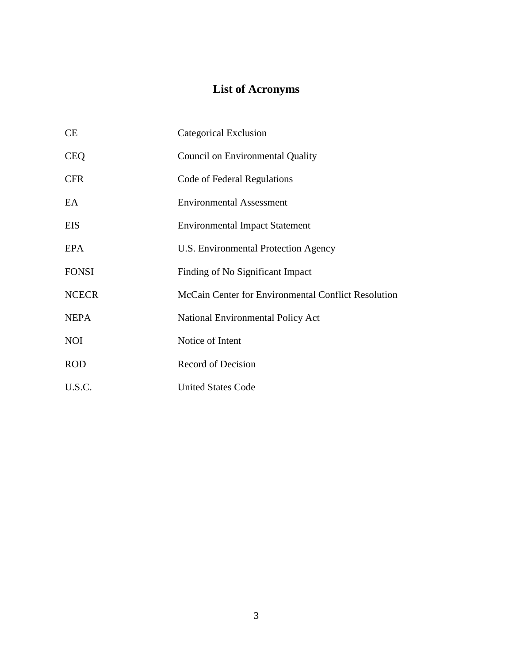## **List of Acronyms**

| <b>CE</b>    | Categorical Exclusion                               |
|--------------|-----------------------------------------------------|
| <b>CEQ</b>   | <b>Council on Environmental Quality</b>             |
| <b>CFR</b>   | Code of Federal Regulations                         |
| EA           | <b>Environmental Assessment</b>                     |
| <b>EIS</b>   | <b>Environmental Impact Statement</b>               |
| <b>EPA</b>   | U.S. Environmental Protection Agency                |
| <b>FONSI</b> | Finding of No Significant Impact                    |
| <b>NCECR</b> | McCain Center for Environmental Conflict Resolution |
| <b>NEPA</b>  | National Environmental Policy Act                   |
| <b>NOI</b>   | Notice of Intent                                    |
| <b>ROD</b>   | Record of Decision                                  |
| U.S.C.       | <b>United States Code</b>                           |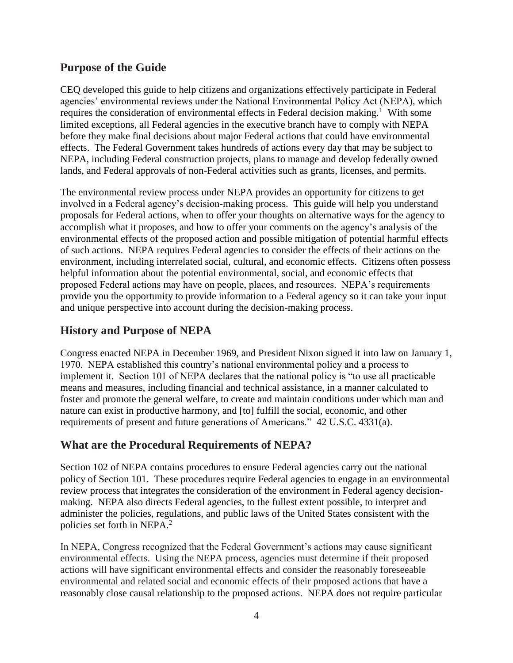## <span id="page-4-0"></span>**Purpose of the Guide**

CEQ developed this guide to help citizens and organizations effectively participate in Federal agencies' environmental reviews under the National Environmental Policy Act (NEPA), which requires the consideration of environmental effects in Federal decision making.<sup>1</sup> With some limited exceptions, all Federal agencies in the executive branch have to comply with NEPA before they make final decisions about major Federal actions that could have environmental effects. The Federal Government takes hundreds of actions every day that may be subject to NEPA, including Federal construction projects, plans to manage and develop federally owned lands, and Federal approvals of non-Federal activities such as grants, licenses, and permits.

The environmental review process under NEPA provides an opportunity for citizens to get involved in a Federal agency's decision-making process. This guide will help you understand proposals for Federal actions, when to offer your thoughts on alternative ways for the agency to accomplish what it proposes, and how to offer your comments on the agency's analysis of the environmental effects of the proposed action and possible mitigation of potential harmful effects of such actions. NEPA requires Federal agencies to consider the effects of their actions on the environment, including interrelated social, cultural, and economic effects. Citizens often possess helpful information about the potential environmental, social, and economic effects that proposed Federal actions may have on people, places, and resources. NEPA's requirements provide you the opportunity to provide information to a Federal agency so it can take your input and unique perspective into account during the decision-making process.

## <span id="page-4-1"></span>**History and Purpose of NEPA**

Congress enacted NEPA in December 1969, and President Nixon signed it into law on January 1, 1970. NEPA established this country's national environmental policy and a process to implement it. Section 101 of NEPA declares that the national policy is "to use all practicable means and measures, including financial and technical assistance, in a manner calculated to foster and promote the general welfare, to create and maintain conditions under which man and nature can exist in productive harmony, and [to] fulfill the social, economic, and other requirements of present and future generations of Americans." 42 U.S.C. 4331(a).

## <span id="page-4-2"></span>**What are the Procedural Requirements of NEPA?**

Section 102 of NEPA contains procedures to ensure Federal agencies carry out the national policy of Section 101. These procedures require Federal agencies to engage in an environmental review process that integrates the consideration of the environment in Federal agency decisionmaking. NEPA also directs Federal agencies, to the fullest extent possible, to interpret and administer the policies, regulations, and public laws of the United States consistent with the policies set forth in NEPA.<sup>2</sup>

In NEPA, Congress recognized that the Federal Government's actions may cause significant environmental effects. Using the NEPA process, agencies must determine if their proposed actions will have significant environmental effects and consider the reasonably foreseeable environmental and related social and economic effects of their proposed actions that have a reasonably close causal relationship to the proposed actions. NEPA does not require particular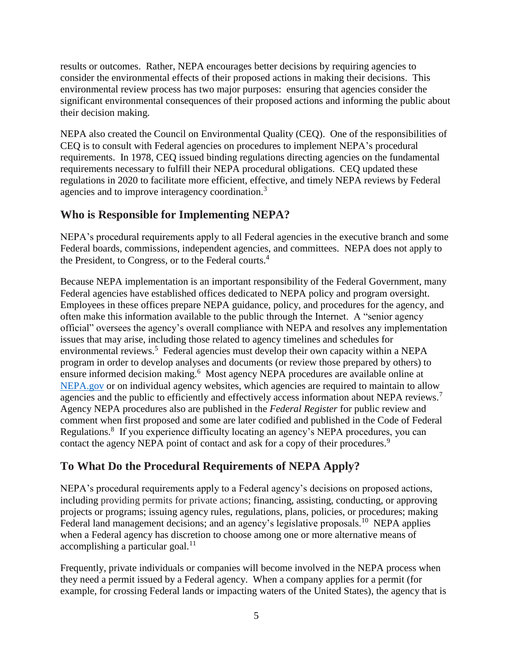results or outcomes. Rather, NEPA encourages better decisions by requiring agencies to consider the environmental effects of their proposed actions in making their decisions. This environmental review process has two major purposes: ensuring that agencies consider the significant environmental consequences of their proposed actions and informing the public about their decision making.

NEPA also created the Council on Environmental Quality (CEQ). One of the responsibilities of CEQ is to consult with Federal agencies on procedures to implement NEPA's procedural requirements. In 1978, CEQ issued binding regulations directing agencies on the fundamental requirements necessary to fulfill their NEPA procedural obligations. CEQ updated these regulations in 2020 to facilitate more efficient, effective, and timely NEPA reviews by Federal agencies and to improve interagency coordination.<sup>3</sup>

## <span id="page-5-0"></span>**Who is Responsible for Implementing NEPA?**

NEPA's procedural requirements apply to all Federal agencies in the executive branch and some Federal boards, commissions, independent agencies, and committees. NEPA does not apply to the President, to Congress, or to the Federal courts.<sup>4</sup>

Because NEPA implementation is an important responsibility of the Federal Government, many Federal agencies have established offices dedicated to NEPA policy and program oversight. Employees in these offices prepare NEPA guidance, policy, and procedures for the agency, and often make this information available to the public through the Internet. A "senior agency official" oversees the agency's overall compliance with NEPA and resolves any implementation issues that may arise, including those related to agency timelines and schedules for environmental reviews.<sup>5</sup> Federal agencies must develop their own capacity within a NEPA program in order to develop analyses and documents (or review those prepared by others) to ensure informed decision making.<sup>6</sup> Most agency NEPA procedures are available online at [NEPA.gov](https://nepa.gov/) or on individual agency websites, which agencies are required to maintain to allow agencies and the public to efficiently and effectively access information about NEPA reviews.<sup>7</sup> Agency NEPA procedures also are published in the *Federal Register* for public review and comment when first proposed and some are later codified and published in the Code of Federal Regulations.<sup>8</sup> If you experience difficulty locating an agency's NEPA procedures, you can contact the agency NEPA point of contact and ask for a copy of their procedures.<sup>9</sup>

## <span id="page-5-1"></span>**To What Do the Procedural Requirements of NEPA Apply?**

NEPA's procedural requirements apply to a Federal agency's decisions on proposed actions, including providing permits for private actions; financing, assisting, conducting, or approving projects or programs; issuing agency rules, regulations, plans, policies, or procedures; making Federal land management decisions; and an agency's legislative proposals.<sup>10</sup> NEPA applies when a Federal agency has discretion to choose among one or more alternative means of accomplishing a particular goal.<sup>11</sup>

Frequently, private individuals or companies will become involved in the NEPA process when they need a permit issued by a Federal agency. When a company applies for a permit (for example, for crossing Federal lands or impacting waters of the United States), the agency that is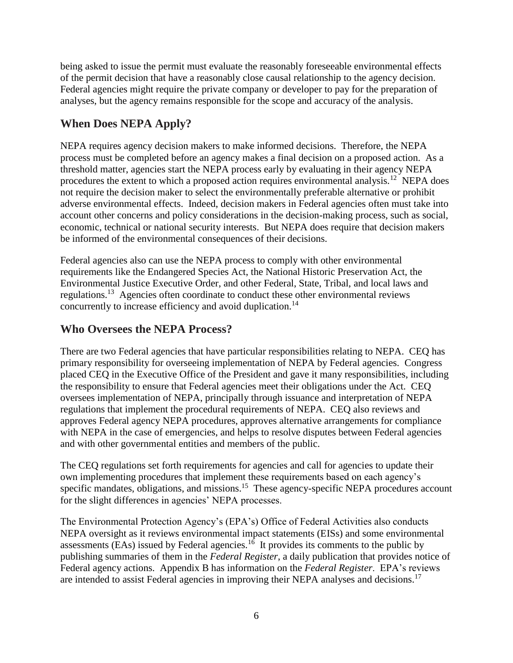being asked to issue the permit must evaluate the reasonably foreseeable environmental effects of the permit decision that have a reasonably close causal relationship to the agency decision. Federal agencies might require the private company or developer to pay for the preparation of analyses, but the agency remains responsible for the scope and accuracy of the analysis.

## <span id="page-6-0"></span>**When Does NEPA Apply?**

NEPA requires agency decision makers to make informed decisions. Therefore, the NEPA process must be completed before an agency makes a final decision on a proposed action. As a threshold matter, agencies start the NEPA process early by evaluating in their agency NEPA procedures the extent to which a proposed action requires environmental analysis.<sup>12</sup> NEPA does not require the decision maker to select the environmentally preferable alternative or prohibit adverse environmental effects. Indeed, decision makers in Federal agencies often must take into account other concerns and policy considerations in the decision-making process, such as social, economic, technical or national security interests. But NEPA does require that decision makers be informed of the environmental consequences of their decisions.

Federal agencies also can use the NEPA process to comply with other environmental requirements like the Endangered Species Act, the National Historic Preservation Act, the Environmental Justice Executive Order, and other Federal, State, Tribal, and local laws and regulations.<sup>13</sup> Agencies often coordinate to conduct these other environmental reviews concurrently to increase efficiency and avoid duplication.<sup>14</sup>

## <span id="page-6-1"></span>**Who Oversees the NEPA Process?**

There are two Federal agencies that have particular responsibilities relating to NEPA. CEQ has primary responsibility for overseeing implementation of NEPA by Federal agencies. Congress placed CEQ in the Executive Office of the President and gave it many responsibilities, including the responsibility to ensure that Federal agencies meet their obligations under the Act. CEQ oversees implementation of NEPA, principally through issuance and interpretation of NEPA regulations that implement the procedural requirements of NEPA. CEQ also reviews and approves Federal agency NEPA procedures, approves alternative arrangements for compliance with NEPA in the case of emergencies, and helps to resolve disputes between Federal agencies and with other governmental entities and members of the public.

The CEQ regulations set forth requirements for agencies and call for agencies to update their own implementing procedures that implement these requirements based on each agency's specific mandates, obligations, and missions.<sup>15</sup> These agency-specific NEPA procedures account for the slight differences in agencies' NEPA processes.

The Environmental Protection Agency's (EPA's) Office of Federal Activities also conducts NEPA oversight as it reviews environmental impact statements (EISs) and some environmental assessments (EAs) issued by Federal agencies.<sup>16</sup> It provides its comments to the public by publishing summaries of them in the *Federal Register*, a daily publication that provides notice of Federal agency actions. Appendix B has information on the *Federal Register*. EPA's reviews are intended to assist Federal agencies in improving their NEPA analyses and decisions.<sup>17</sup>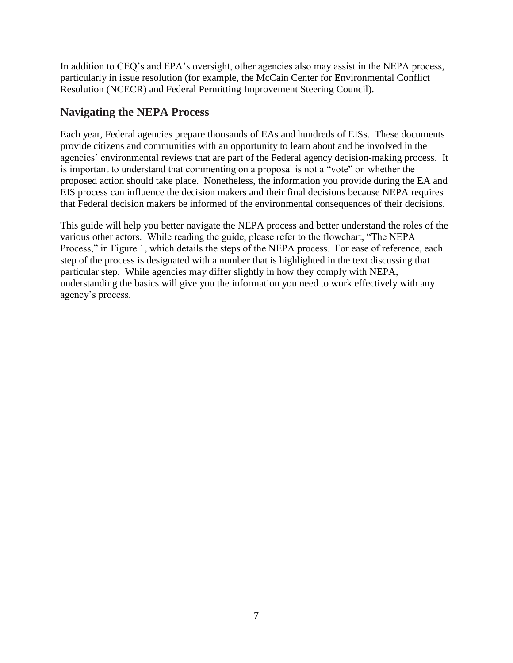In addition to CEQ's and EPA's oversight, other agencies also may assist in the NEPA process, particularly in issue resolution (for example, the McCain Center for Environmental Conflict Resolution (NCECR) and Federal Permitting Improvement Steering Council).

## <span id="page-7-0"></span>**Navigating the NEPA Process**

Each year, Federal agencies prepare thousands of EAs and hundreds of EISs. These documents provide citizens and communities with an opportunity to learn about and be involved in the agencies' environmental reviews that are part of the Federal agency decision-making process. It is important to understand that commenting on a proposal is not a "vote" on whether the proposed action should take place. Nonetheless, the information you provide during the EA and EIS process can influence the decision makers and their final decisions because NEPA requires that Federal decision makers be informed of the environmental consequences of their decisions.

This guide will help you better navigate the NEPA process and better understand the roles of the various other actors. While reading the guide, please refer to the flowchart, "The NEPA Process," in Figure 1, which details the steps of the NEPA process. For ease of reference, each step of the process is designated with a number that is highlighted in the text discussing that particular step. While agencies may differ slightly in how they comply with NEPA, understanding the basics will give you the information you need to work effectively with any agency's process.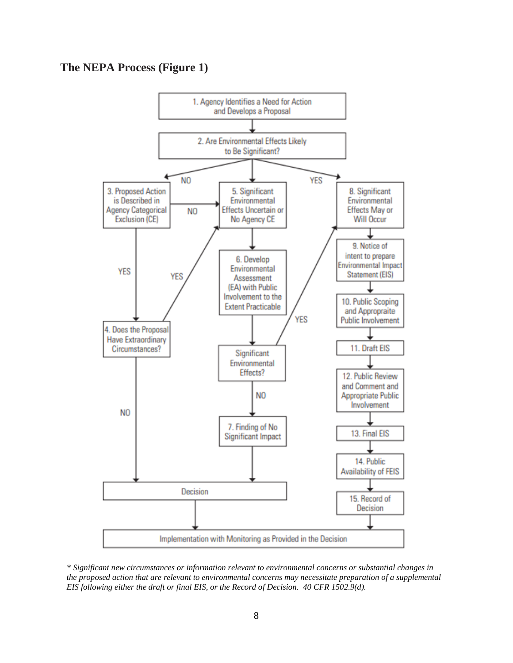## <span id="page-8-0"></span>**The NEPA Process (Figure 1)**



*\* Significant new circumstances or information relevant to environmental concerns or substantial changes in the proposed action that are relevant to environmental concerns may necessitate preparation of a supplemental EIS following either the draft or final EIS, or the Record of Decision. 40 CFR 1502.9(d).*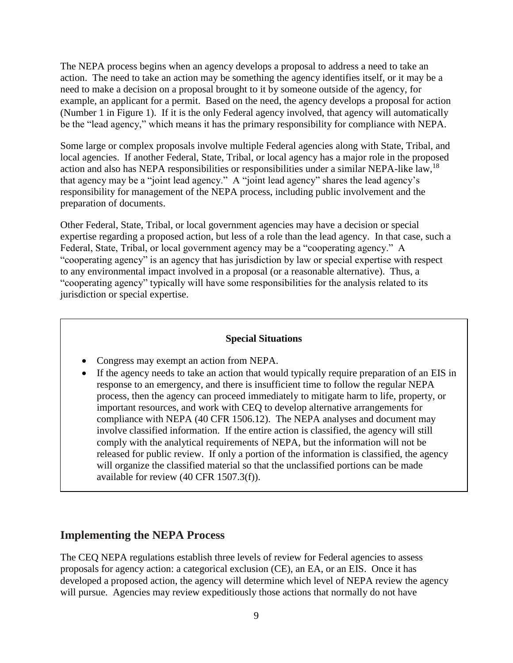The NEPA process begins when an agency develops a proposal to address a need to take an action. The need to take an action may be something the agency identifies itself, or it may be a need to make a decision on a proposal brought to it by someone outside of the agency, for example, an applicant for a permit. Based on the need, the agency develops a proposal for action (Number 1 in Figure 1). If it is the only Federal agency involved, that agency will automatically be the "lead agency," which means it has the primary responsibility for compliance with NEPA.

Some large or complex proposals involve multiple Federal agencies along with State, Tribal, and local agencies. If another Federal, State, Tribal, or local agency has a major role in the proposed action and also has NEPA responsibilities or responsibilities under a similar NEPA-like law,  $^{18}$ that agency may be a "joint lead agency." A "joint lead agency" shares the lead agency's responsibility for management of the NEPA process, including public involvement and the preparation of documents.

Other Federal, State, Tribal, or local government agencies may have a decision or special expertise regarding a proposed action, but less of a role than the lead agency. In that case, such a Federal, State, Tribal, or local government agency may be a "cooperating agency." A "cooperating agency" is an agency that has jurisdiction by law or special expertise with respect to any environmental impact involved in a proposal (or a reasonable alternative). Thus, a "cooperating agency" typically will have some responsibilities for the analysis related to its jurisdiction or special expertise.

## **Special Situations**

- Congress may exempt an action from NEPA.
- If the agency needs to take an action that would typically require preparation of an EIS in response to an emergency, and there is insufficient time to follow the regular NEPA process, then the agency can proceed immediately to mitigate harm to life, property, or important resources, and work with CEQ to develop alternative arrangements for compliance with NEPA (40 CFR 1506.12). The NEPA analyses and document may involve classified information. If the entire action is classified, the agency will still comply with the analytical requirements of NEPA, but the information will not be released for public review. If only a portion of the information is classified, the agency will organize the classified material so that the unclassified portions can be made available for review (40 CFR 1507.3(f)).

## <span id="page-9-0"></span>**Implementing the NEPA Process**

The CEQ NEPA regulations establish three levels of review for Federal agencies to assess proposals for agency action: a categorical exclusion (CE), an EA, or an EIS. Once it has developed a proposed action, the agency will determine which level of NEPA review the agency will pursue. Agencies may review expeditiously those actions that normally do not have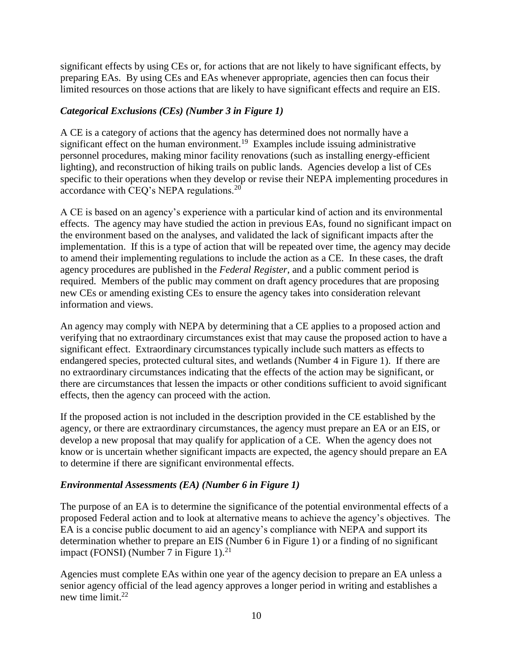significant effects by using CEs or, for actions that are not likely to have significant effects, by preparing EAs. By using CEs and EAs whenever appropriate, agencies then can focus their limited resources on those actions that are likely to have significant effects and require an EIS.

## <span id="page-10-0"></span>*Categorical Exclusions (CEs) (Number 3 in Figure 1)*

A CE is a category of actions that the agency has determined does not normally have a significant effect on the human environment.<sup>19</sup> Examples include issuing administrative personnel procedures, making minor facility renovations (such as installing energy-efficient lighting), and reconstruction of hiking trails on public lands. Agencies develop a list of CEs specific to their operations when they develop or revise their NEPA implementing procedures in accordance with CEQ's NEPA regulations.<sup>20</sup>

A CE is based on an agency's experience with a particular kind of action and its environmental effects. The agency may have studied the action in previous EAs, found no significant impact on the environment based on the analyses, and validated the lack of significant impacts after the implementation. If this is a type of action that will be repeated over time, the agency may decide to amend their implementing regulations to include the action as a CE. In these cases, the draft agency procedures are published in the *Federal Register*, and a public comment period is required. Members of the public may comment on draft agency procedures that are proposing new CEs or amending existing CEs to ensure the agency takes into consideration relevant information and views.

An agency may comply with NEPA by determining that a CE applies to a proposed action and verifying that no extraordinary circumstances exist that may cause the proposed action to have a significant effect. Extraordinary circumstances typically include such matters as effects to endangered species, protected cultural sites, and wetlands (Number 4 in Figure 1). If there are no extraordinary circumstances indicating that the effects of the action may be significant, or there are circumstances that lessen the impacts or other conditions sufficient to avoid significant effects, then the agency can proceed with the action.

If the proposed action is not included in the description provided in the CE established by the agency, or there are extraordinary circumstances, the agency must prepare an EA or an EIS, or develop a new proposal that may qualify for application of a CE. When the agency does not know or is uncertain whether significant impacts are expected, the agency should prepare an EA to determine if there are significant environmental effects.

## <span id="page-10-1"></span>*Environmental Assessments (EA) (Number 6 in Figure 1)*

The purpose of an EA is to determine the significance of the potential environmental effects of a proposed Federal action and to look at alternative means to achieve the agency's objectives. The EA is a concise public document to aid an agency's compliance with NEPA and support its determination whether to prepare an EIS (Number 6 in Figure 1) or a finding of no significant impact (FONSI) (Number 7 in Figure 1).<sup>21</sup>

Agencies must complete EAs within one year of the agency decision to prepare an EA unless a senior agency official of the lead agency approves a longer period in writing and establishes a new time limit. $^{22}$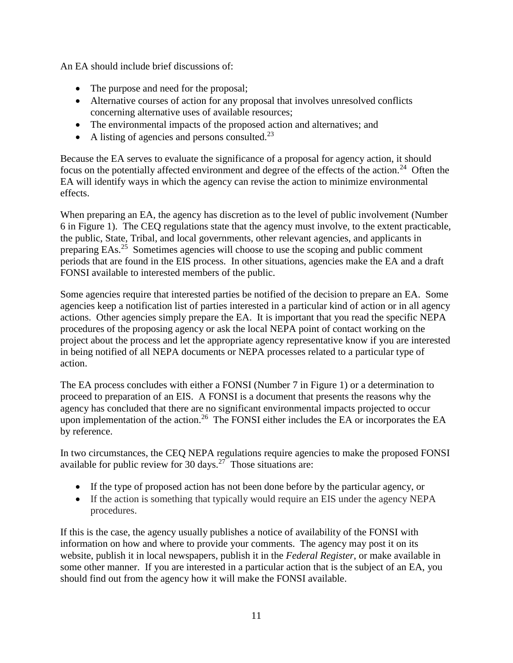An EA should include brief discussions of:

- The purpose and need for the proposal;
- Alternative courses of action for any proposal that involves unresolved conflicts concerning alternative uses of available resources;
- The environmental impacts of the proposed action and alternatives; and
- A listing of agencies and persons consulted.<sup>23</sup>

Because the EA serves to evaluate the significance of a proposal for agency action, it should focus on the potentially affected environment and degree of the effects of the action.<sup>24</sup> Often the EA will identify ways in which the agency can revise the action to minimize environmental effects.

When preparing an EA, the agency has discretion as to the level of public involvement (Number 6 in Figure 1). The CEQ regulations state that the agency must involve, to the extent practicable, the public, State, Tribal, and local governments, other relevant agencies, and applicants in preparing EAs.<sup>25</sup> Sometimes agencies will choose to use the scoping and public comment periods that are found in the EIS process. In other situations, agencies make the EA and a draft FONSI available to interested members of the public.

Some agencies require that interested parties be notified of the decision to prepare an EA. Some agencies keep a notification list of parties interested in a particular kind of action or in all agency actions. Other agencies simply prepare the EA. It is important that you read the specific NEPA procedures of the proposing agency or ask the local NEPA point of contact working on the project about the process and let the appropriate agency representative know if you are interested in being notified of all NEPA documents or NEPA processes related to a particular type of action.

The EA process concludes with either a FONSI (Number 7 in Figure 1) or a determination to proceed to preparation of an EIS. A FONSI is a document that presents the reasons why the agency has concluded that there are no significant environmental impacts projected to occur upon implementation of the action.<sup>26</sup> The FONSI either includes the EA or incorporates the EA by reference.

In two circumstances, the CEQ NEPA regulations require agencies to make the proposed FONSI available for public review for 30 days.<sup>27</sup> Those situations are:

- If the type of proposed action has not been done before by the particular agency, or
- If the action is something that typically would require an EIS under the agency NEPA procedures.

If this is the case, the agency usually publishes a notice of availability of the FONSI with information on how and where to provide your comments. The agency may post it on its website, publish it in local newspapers, publish it in the *Federal Register*, or make available in some other manner. If you are interested in a particular action that is the subject of an EA, you should find out from the agency how it will make the FONSI available.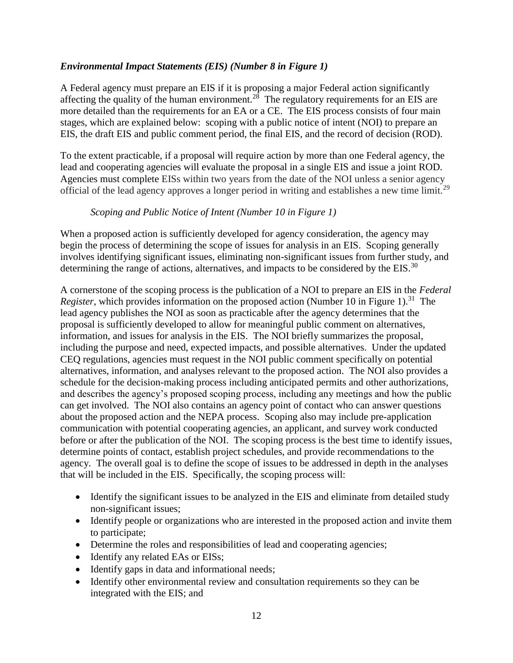## <span id="page-12-0"></span>*Environmental Impact Statements (EIS) (Number 8 in Figure 1)*

A Federal agency must prepare an EIS if it is proposing a major Federal action significantly affecting the quality of the human environment.<sup>28</sup> The regulatory requirements for an EIS are more detailed than the requirements for an EA or a CE. The EIS process consists of four main stages, which are explained below: scoping with a public notice of intent (NOI) to prepare an EIS, the draft EIS and public comment period, the final EIS, and the record of decision (ROD).

To the extent practicable, if a proposal will require action by more than one Federal agency, the lead and cooperating agencies will evaluate the proposal in a single EIS and issue a joint ROD. Agencies must complete EISs within two years from the date of the NOI unless a senior agency official of the lead agency approves a longer period in writing and establishes a new time limit.<sup>29</sup>

## *Scoping and Public Notice of Intent (Number 10 in Figure 1)*

<span id="page-12-1"></span>When a proposed action is sufficiently developed for agency consideration, the agency may begin the process of determining the scope of issues for analysis in an EIS. Scoping generally involves identifying significant issues, eliminating non-significant issues from further study, and determining the range of actions, alternatives, and impacts to be considered by the EIS.<sup>30</sup>

A cornerstone of the scoping process is the publication of a NOI to prepare an EIS in the *Federal Register*, which provides information on the proposed action (Number 10 in Figure 1).<sup>31</sup> The lead agency publishes the NOI as soon as practicable after the agency determines that the proposal is sufficiently developed to allow for meaningful public comment on alternatives, information, and issues for analysis in the EIS. The NOI briefly summarizes the proposal, including the purpose and need, expected impacts, and possible alternatives. Under the updated CEQ regulations, agencies must request in the NOI public comment specifically on potential alternatives, information, and analyses relevant to the proposed action. The NOI also provides a schedule for the decision-making process including anticipated permits and other authorizations, and describes the agency's proposed scoping process, including any meetings and how the public can get involved. The NOI also contains an agency point of contact who can answer questions about the proposed action and the NEPA process. Scoping also may include pre-application communication with potential cooperating agencies, an applicant, and survey work conducted before or after the publication of the NOI. The scoping process is the best time to identify issues, determine points of contact, establish project schedules, and provide recommendations to the agency. The overall goal is to define the scope of issues to be addressed in depth in the analyses that will be included in the EIS. Specifically, the scoping process will:

- Identify the significant issues to be analyzed in the EIS and eliminate from detailed study non-significant issues;
- Identify people or organizations who are interested in the proposed action and invite them to participate;
- Determine the roles and responsibilities of lead and cooperating agencies;
- Identify any related EAs or EISs;
- Identify gaps in data and informational needs;
- Identify other environmental review and consultation requirements so they can be integrated with the EIS; and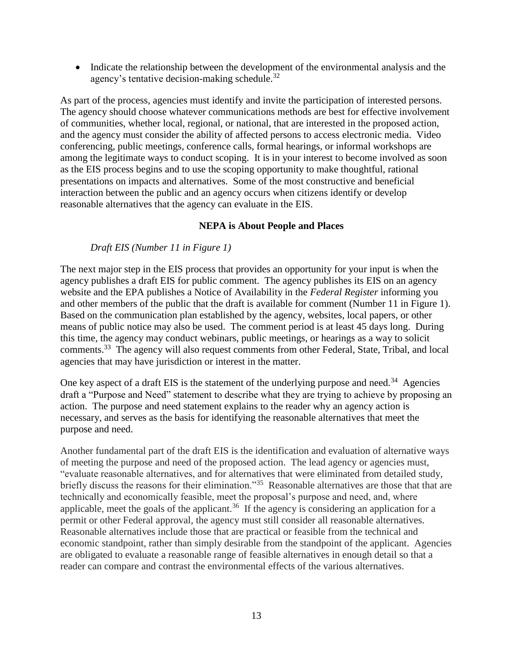• Indicate the relationship between the development of the environmental analysis and the agency's tentative decision-making schedule.<sup>32</sup>

As part of the process, agencies must identify and invite the participation of interested persons. The agency should choose whatever communications methods are best for effective involvement of communities, whether local, regional, or national, that are interested in the proposed action, and the agency must consider the ability of affected persons to access electronic media. Video conferencing, public meetings, conference calls, formal hearings, or informal workshops are among the legitimate ways to conduct scoping. It is in your interest to become involved as soon as the EIS process begins and to use the scoping opportunity to make thoughtful, rational presentations on impacts and alternatives. Some of the most constructive and beneficial interaction between the public and an agency occurs when citizens identify or develop reasonable alternatives that the agency can evaluate in the EIS.

#### **NEPA is About People and Places**

#### *Draft EIS (Number 11 in Figure 1)*

<span id="page-13-0"></span>The next major step in the EIS process that provides an opportunity for your input is when the agency publishes a draft EIS for public comment. The agency publishes its EIS on an agency website and the EPA publishes a Notice of Availability in the *Federal Register* informing you and other members of the public that the draft is available for comment (Number 11 in Figure 1). Based on the communication plan established by the agency, websites, local papers, or other means of public notice may also be used. The comment period is at least 45 days long. During this time, the agency may conduct webinars, public meetings, or hearings as a way to solicit comments.<sup>33</sup> The agency will also request comments from other Federal, State, Tribal, and local agencies that may have jurisdiction or interest in the matter.

One key aspect of a draft EIS is the statement of the underlying purpose and need.<sup>34</sup> Agencies draft a "Purpose and Need" statement to describe what they are trying to achieve by proposing an action. The purpose and need statement explains to the reader why an agency action is necessary, and serves as the basis for identifying the reasonable alternatives that meet the purpose and need.

Another fundamental part of the draft EIS is the identification and evaluation of alternative ways of meeting the purpose and need of the proposed action. The lead agency or agencies must, "evaluate reasonable alternatives, and for alternatives that were eliminated from detailed study, briefly discuss the reasons for their elimination."<sup>35</sup> Reasonable alternatives are those that that are technically and economically feasible, meet the proposal's purpose and need, and, where applicable, meet the goals of the applicant.<sup>36</sup> If the agency is considering an application for a permit or other Federal approval, the agency must still consider all reasonable alternatives. Reasonable alternatives include those that are practical or feasible from the technical and economic standpoint, rather than simply desirable from the standpoint of the applicant. Agencies are obligated to evaluate a reasonable range of feasible alternatives in enough detail so that a reader can compare and contrast the environmental effects of the various alternatives.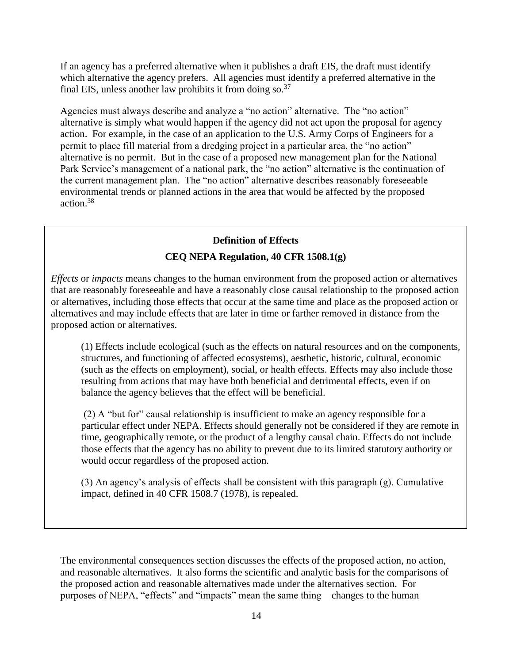If an agency has a preferred alternative when it publishes a draft EIS, the draft must identify which alternative the agency prefers. All agencies must identify a preferred alternative in the final EIS, unless another law prohibits it from doing so.  $37$ 

Agencies must always describe and analyze a "no action" alternative. The "no action" alternative is simply what would happen if the agency did not act upon the proposal for agency action. For example, in the case of an application to the U.S. Army Corps of Engineers for a permit to place fill material from a dredging project in a particular area, the "no action" alternative is no permit. But in the case of a proposed new management plan for the National Park Service's management of a national park, the "no action" alternative is the continuation of the current management plan. The "no action" alternative describes reasonably foreseeable environmental trends or planned actions in the area that would be affected by the proposed action.<sup>38</sup>

## **Definition of Effects**

## **CEQ NEPA Regulation, 40 CFR 1508.1(g)**

*Effects* or *impacts* means changes to the human environment from the proposed action or alternatives that are reasonably foreseeable and have a reasonably close causal relationship to the proposed action or alternatives, including those effects that occur at the same time and place as the proposed action or alternatives and may include effects that are later in time or farther removed in distance from the proposed action or alternatives.

(1) Effects include ecological (such as the effects on natural resources and on the components, structures, and functioning of affected ecosystems), aesthetic, historic, cultural, economic (such as the effects on employment), social, or health effects. Effects may also include those resulting from actions that may have both beneficial and detrimental effects, even if on balance the agency believes that the effect will be beneficial.

(2) A "but for" causal relationship is insufficient to make an agency responsible for a particular effect under NEPA. Effects should generally not be considered if they are remote in time, geographically remote, or the product of a lengthy causal chain. Effects do not include those effects that the agency has no ability to prevent due to its limited statutory authority or would occur regardless of the proposed action.

(3) An agency's analysis of effects shall be consistent with this paragraph (g). Cumulative impact, defined in 40 CFR 1508.7 (1978), is repealed.

The environmental consequences section discusses the effects of the proposed action, no action, and reasonable alternatives. It also forms the scientific and analytic basis for the comparisons of the proposed action and reasonable alternatives made under the alternatives section. For purposes of NEPA, "effects" and "impacts" mean the same thing—changes to the human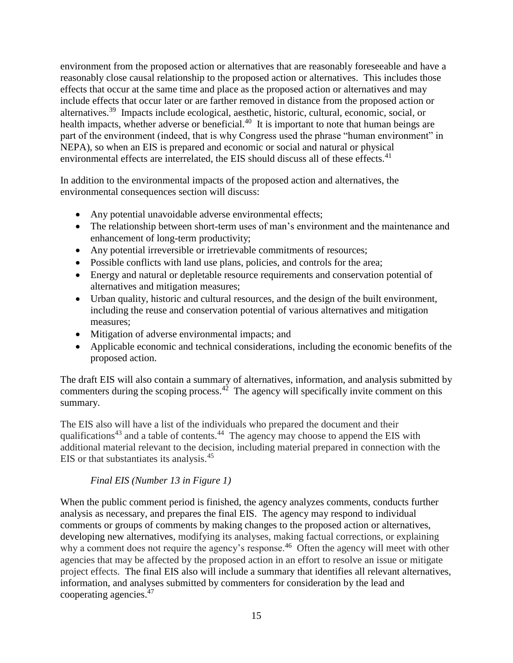environment from the proposed action or alternatives that are reasonably foreseeable and have a reasonably close causal relationship to the proposed action or alternatives. This includes those effects that occur at the same time and place as the proposed action or alternatives and may include effects that occur later or are farther removed in distance from the proposed action or alternatives.<sup>39</sup> Impacts include ecological, aesthetic, historic, cultural, economic, social, or health impacts, whether adverse or beneficial.<sup>40</sup> It is important to note that human beings are part of the environment (indeed, that is why Congress used the phrase "human environment" in NEPA), so when an EIS is prepared and economic or social and natural or physical environmental effects are interrelated, the EIS should discuss all of these effects. $41$ 

In addition to the environmental impacts of the proposed action and alternatives, the environmental consequences section will discuss:

- Any potential unavoidable adverse environmental effects;
- The relationship between short-term uses of man's environment and the maintenance and enhancement of long-term productivity;
- Any potential irreversible or irretrievable commitments of resources;
- Possible conflicts with land use plans, policies, and controls for the area;
- Energy and natural or depletable resource requirements and conservation potential of alternatives and mitigation measures;
- Urban quality, historic and cultural resources, and the design of the built environment, including the reuse and conservation potential of various alternatives and mitigation measures;
- Mitigation of adverse environmental impacts; and
- Applicable economic and technical considerations, including the economic benefits of the proposed action.

The draft EIS will also contain a summary of alternatives, information, and analysis submitted by commenters during the scoping process.<sup>42</sup> The agency will specifically invite comment on this summary.

The EIS also will have a list of the individuals who prepared the document and their qualifications<sup>43</sup> and a table of contents.<sup>44</sup> The agency may choose to append the EIS with additional material relevant to the decision, including material prepared in connection with the EIS or that substantiates its analysis.<sup>45</sup>

## *Final EIS (Number 13 in Figure 1)*

<span id="page-15-0"></span>When the public comment period is finished, the agency analyzes comments, conducts further analysis as necessary, and prepares the final EIS. The agency may respond to individual comments or groups of comments by making changes to the proposed action or alternatives, developing new alternatives, modifying its analyses, making factual corrections, or explaining why a comment does not require the agency's response.<sup>46</sup> Often the agency will meet with other agencies that may be affected by the proposed action in an effort to resolve an issue or mitigate project effects. The final EIS also will include a summary that identifies all relevant alternatives, information, and analyses submitted by commenters for consideration by the lead and cooperating agencies.<sup>47</sup>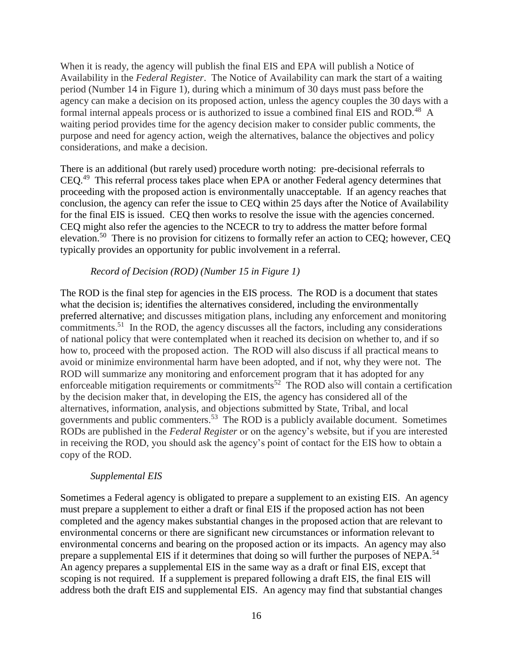When it is ready, the agency will publish the final EIS and EPA will publish a Notice of Availability in the *Federal Register*. The Notice of Availability can mark the start of a waiting period (Number 14 in Figure 1), during which a minimum of 30 days must pass before the agency can make a decision on its proposed action, unless the agency couples the 30 days with a formal internal appeals process or is authorized to issue a combined final EIS and ROD.<sup>48</sup> A waiting period provides time for the agency decision maker to consider public comments, the purpose and need for agency action, weigh the alternatives, balance the objectives and policy considerations, and make a decision.

There is an additional (but rarely used) procedure worth noting: pre-decisional referrals to CEQ.<sup>49</sup> This referral process takes place when EPA or another Federal agency determines that proceeding with the proposed action is environmentally unacceptable. If an agency reaches that conclusion, the agency can refer the issue to CEQ within 25 days after the Notice of Availability for the final EIS is issued. CEQ then works to resolve the issue with the agencies concerned. CEQ might also refer the agencies to the NCECR to try to address the matter before formal elevation.<sup>50</sup> There is no provision for citizens to formally refer an action to CEQ; however, CEQ typically provides an opportunity for public involvement in a referral.

## *Record of Decision (ROD) (Number 15 in Figure 1)*

<span id="page-16-0"></span>The ROD is the final step for agencies in the EIS process. The ROD is a document that states what the decision is; identifies the alternatives considered, including the environmentally preferred alternative; and discusses mitigation plans, including any enforcement and monitoring commitments.<sup>51</sup> In the ROD, the agency discusses all the factors, including any considerations of national policy that were contemplated when it reached its decision on whether to, and if so how to, proceed with the proposed action. The ROD will also discuss if all practical means to avoid or minimize environmental harm have been adopted, and if not, why they were not. The ROD will summarize any monitoring and enforcement program that it has adopted for any enforceable mitigation requirements or commitments<sup>52</sup> The ROD also will contain a certification by the decision maker that, in developing the EIS, the agency has considered all of the alternatives, information, analysis, and objections submitted by State, Tribal, and local governments and public commenters.<sup>53</sup> The ROD is a publicly available document. Sometimes RODs are published in the *Federal Register* or on the agency's website, but if you are interested in receiving the ROD, you should ask the agency's point of contact for the EIS how to obtain a copy of the ROD.

#### *Supplemental EIS*

<span id="page-16-1"></span>Sometimes a Federal agency is obligated to prepare a supplement to an existing EIS. An agency must prepare a supplement to either a draft or final EIS if the proposed action has not been completed and the agency makes substantial changes in the proposed action that are relevant to environmental concerns or there are significant new circumstances or information relevant to environmental concerns and bearing on the proposed action or its impacts. An agency may also prepare a supplemental EIS if it determines that doing so will further the purposes of NEPA.<sup>54</sup> An agency prepares a supplemental EIS in the same way as a draft or final EIS, except that scoping is not required. If a supplement is prepared following a draft EIS, the final EIS will address both the draft EIS and supplemental EIS. An agency may find that substantial changes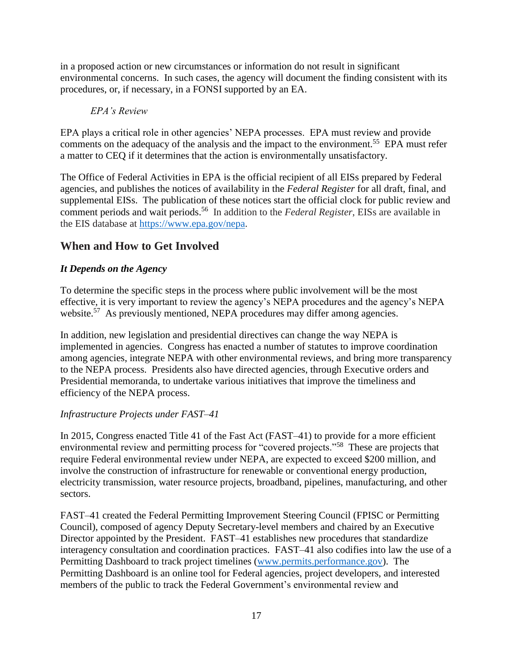in a proposed action or new circumstances or information do not result in significant environmental concerns. In such cases, the agency will document the finding consistent with its procedures, or, if necessary, in a FONSI supported by an EA.

## *EPA's Review*

<span id="page-17-0"></span>EPA plays a critical role in other agencies' NEPA processes. EPA must review and provide comments on the adequacy of the analysis and the impact to the environment.<sup>55</sup> EPA must refer a matter to CEQ if it determines that the action is environmentally unsatisfactory.

The Office of Federal Activities in EPA is the official recipient of all EISs prepared by Federal agencies, and publishes the notices of availability in the *Federal Register* for all draft, final, and supplemental EISs. The publication of these notices start the official clock for public review and comment periods and wait periods.<sup>56</sup> In addition to the *Federal Register*, EISs are available in the EIS database at [https://www.epa.gov/nepa.](https://www.epa.gov/nepa)

## <span id="page-17-1"></span>**When and How to Get Involved**

## <span id="page-17-2"></span>*It Depends on the Agency*

To determine the specific steps in the process where public involvement will be the most effective, it is very important to review the agency's NEPA procedures and the agency's NEPA website.<sup>57</sup> As previously mentioned, NEPA procedures may differ among agencies.

In addition, new legislation and presidential directives can change the way NEPA is implemented in agencies. Congress has enacted a number of statutes to improve coordination among agencies, integrate NEPA with other environmental reviews, and bring more transparency to the NEPA process. Presidents also have directed agencies, through Executive orders and Presidential memoranda, to undertake various initiatives that improve the timeliness and efficiency of the NEPA process.

## <span id="page-17-3"></span>*Infrastructure Projects under FAST–41*

In 2015, Congress enacted Title 41 of the Fast Act (FAST–41) to provide for a more efficient environmental review and permitting process for "covered projects."<sup>58</sup> These are projects that require Federal environmental review under NEPA, are expected to exceed \$200 million, and involve the construction of infrastructure for renewable or conventional energy production, electricity transmission, water resource projects, broadband, pipelines, manufacturing, and other sectors.

FAST–41 created the Federal Permitting Improvement Steering Council (FPISC or Permitting Council), composed of agency Deputy Secretary-level members and chaired by an Executive Director appointed by the President. FAST–41 establishes new procedures that standardize interagency consultation and coordination practices. FAST–41 also codifies into law the use of a Permitting Dashboard to track project timelines [\(www.permits.performance.gov\)](http://www.permits.performance.gov/). The Permitting Dashboard is an online tool for Federal agencies, project developers, and interested members of the public to track the Federal Government's environmental review and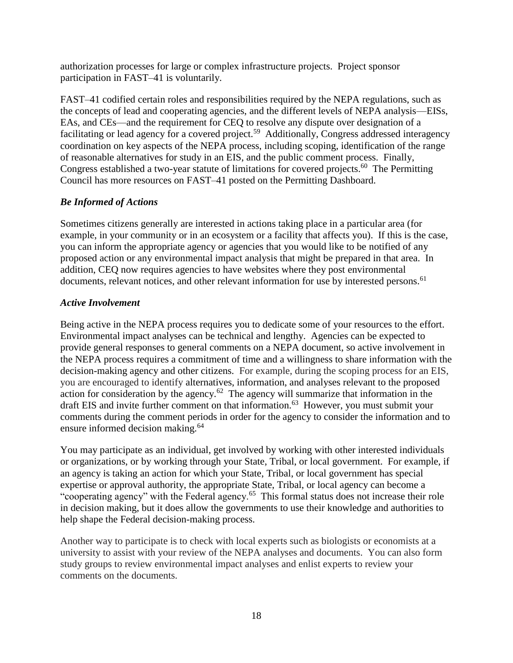authorization processes for large or complex infrastructure projects. Project sponsor participation in FAST–41 is voluntarily.

FAST–41 codified certain roles and responsibilities required by the NEPA regulations, such as the concepts of lead and cooperating agencies, and the different levels of NEPA analysis—EISs, EAs, and CEs—and the requirement for CEQ to resolve any dispute over designation of a facilitating or lead agency for a covered project.<sup>59</sup> Additionally, Congress addressed interagency coordination on key aspects of the NEPA process, including scoping, identification of the range of reasonable alternatives for study in an EIS, and the public comment process. Finally, Congress established a two-year statute of limitations for covered projects.<sup>60</sup> The Permitting Council has more resources on FAST–41 posted on the Permitting Dashboard.

## <span id="page-18-0"></span>*Be Informed of Actions*

Sometimes citizens generally are interested in actions taking place in a particular area (for example, in your community or in an ecosystem or a facility that affects you). If this is the case, you can inform the appropriate agency or agencies that you would like to be notified of any proposed action or any environmental impact analysis that might be prepared in that area. In addition, CEQ now requires agencies to have websites where they post environmental documents, relevant notices, and other relevant information for use by interested persons.<sup>61</sup>

## <span id="page-18-1"></span>*Active Involvement*

Being active in the NEPA process requires you to dedicate some of your resources to the effort. Environmental impact analyses can be technical and lengthy. Agencies can be expected to provide general responses to general comments on a NEPA document, so active involvement in the NEPA process requires a commitment of time and a willingness to share information with the decision-making agency and other citizens. For example, during the scoping process for an EIS, you are encouraged to identify alternatives, information, and analyses relevant to the proposed action for consideration by the agency. $62$  The agency will summarize that information in the draft EIS and invite further comment on that information.<sup>63</sup> However, you must submit your comments during the comment periods in order for the agency to consider the information and to ensure informed decision making.<sup>64</sup>

You may participate as an individual, get involved by working with other interested individuals or organizations, or by working through your State, Tribal, or local government. For example, if an agency is taking an action for which your State, Tribal, or local government has special expertise or approval authority, the appropriate State, Tribal, or local agency can become a "cooperating agency" with the Federal agency.<sup>65</sup> This formal status does not increase their role in decision making, but it does allow the governments to use their knowledge and authorities to help shape the Federal decision-making process.

Another way to participate is to check with local experts such as biologists or economists at a university to assist with your review of the NEPA analyses and documents. You can also form study groups to review environmental impact analyses and enlist experts to review your comments on the documents.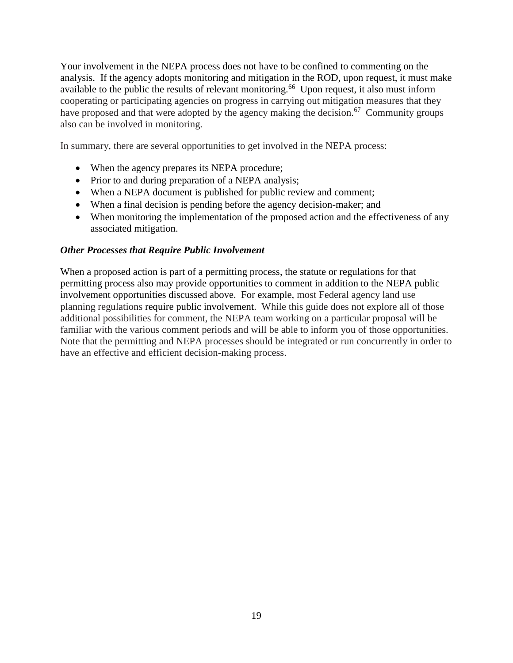Your involvement in the NEPA process does not have to be confined to commenting on the analysis. If the agency adopts monitoring and mitigation in the ROD, upon request, it must make available to the public the results of relevant monitoring.<sup>66</sup> Upon request, it also must inform cooperating or participating agencies on progress in carrying out mitigation measures that they have proposed and that were adopted by the agency making the decision.<sup>67</sup> Community groups also can be involved in monitoring.

In summary, there are several opportunities to get involved in the NEPA process:

- When the agency prepares its NEPA procedure;
- Prior to and during preparation of a NEPA analysis;
- When a NEPA document is published for public review and comment;
- When a final decision is pending before the agency decision-maker; and
- When monitoring the implementation of the proposed action and the effectiveness of any associated mitigation.

## <span id="page-19-0"></span>*Other Processes that Require Public Involvement*

When a proposed action is part of a permitting process, the statute or regulations for that permitting process also may provide opportunities to comment in addition to the NEPA public involvement opportunities discussed above. For example, most Federal agency land use planning regulations require public involvement. While this guide does not explore all of those additional possibilities for comment, the NEPA team working on a particular proposal will be familiar with the various comment periods and will be able to inform you of those opportunities. Note that the permitting and NEPA processes should be integrated or run concurrently in order to have an effective and efficient decision-making process.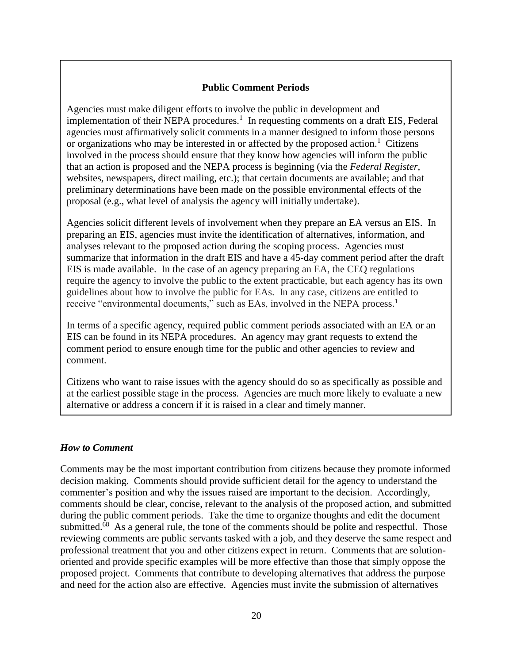## **Public Comment Periods**

Agencies must make diligent efforts to involve the public in development and implementation of their NEPA procedures.<sup>1</sup> In requesting comments on a draft EIS, Federal agencies must affirmatively solicit comments in a manner designed to inform those persons or organizations who may be interested in or affected by the proposed action.<sup>1</sup> Citizens involved in the process should ensure that they know how agencies will inform the public that an action is proposed and the NEPA process is beginning (via the *Federal Register*, websites, newspapers, direct mailing, etc.); that certain documents are available; and that preliminary determinations have been made on the possible environmental effects of the proposal (e.g., what level of analysis the agency will initially undertake).

Agencies solicit different levels of involvement when they prepare an EA versus an EIS. In preparing an EIS, agencies must invite the identification of alternatives, information, and analyses relevant to the proposed action during the scoping process. Agencies must summarize that information in the draft EIS and have a 45-day comment period after the draft EIS is made available. In the case of an agency preparing an EA, the CEQ regulations require the agency to involve the public to the extent practicable, but each agency has its own guidelines about how to involve the public for EAs. In any case, citizens are entitled to receive "environmental documents," such as EAs, involved in the NEPA process.<sup>1</sup>

In terms of a specific agency, required public comment periods associated with an EA or an EIS can be found in its NEPA procedures. An agency may grant requests to extend the comment period to ensure enough time for the public and other agencies to review and comment.

Citizens who want to raise issues with the agency should do so as specifically as possible and at the earliest possible stage in the process. Agencies are much more likely to evaluate a new alternative or address a concern if it is raised in a clear and timely manner.

## <span id="page-20-0"></span>*How to Comment*

Comments may be the most important contribution from citizens because they promote informed decision making. Comments should provide sufficient detail for the agency to understand the commenter's position and why the issues raised are important to the decision. Accordingly, comments should be clear, concise, relevant to the analysis of the proposed action, and submitted during the public comment periods. Take the time to organize thoughts and edit the document submitted.<sup>68</sup> As a general rule, the tone of the comments should be polite and respectful. Those reviewing comments are public servants tasked with a job, and they deserve the same respect and professional treatment that you and other citizens expect in return. Comments that are solutionoriented and provide specific examples will be more effective than those that simply oppose the proposed project. Comments that contribute to developing alternatives that address the purpose and need for the action also are effective. Agencies must invite the submission of alternatives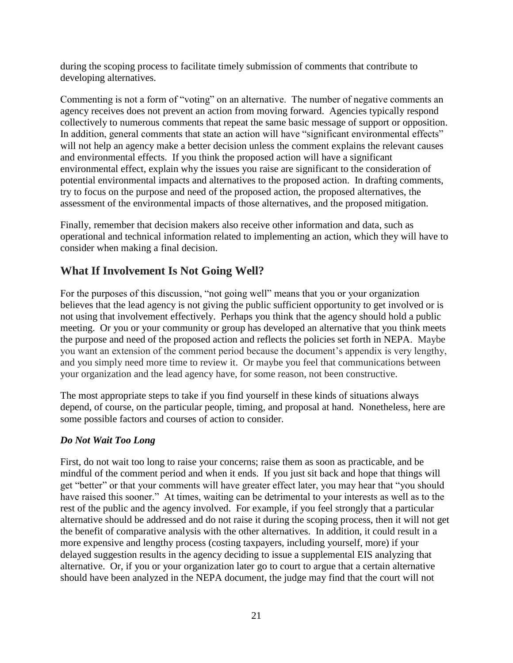during the scoping process to facilitate timely submission of comments that contribute to developing alternatives.

Commenting is not a form of "voting" on an alternative. The number of negative comments an agency receives does not prevent an action from moving forward. Agencies typically respond collectively to numerous comments that repeat the same basic message of support or opposition. In addition, general comments that state an action will have "significant environmental effects" will not help an agency make a better decision unless the comment explains the relevant causes and environmental effects. If you think the proposed action will have a significant environmental effect, explain why the issues you raise are significant to the consideration of potential environmental impacts and alternatives to the proposed action. In drafting comments, try to focus on the purpose and need of the proposed action, the proposed alternatives, the assessment of the environmental impacts of those alternatives, and the proposed mitigation.

Finally, remember that decision makers also receive other information and data, such as operational and technical information related to implementing an action, which they will have to consider when making a final decision.

## <span id="page-21-0"></span>**What If Involvement Is Not Going Well?**

For the purposes of this discussion, "not going well" means that you or your organization believes that the lead agency is not giving the public sufficient opportunity to get involved or is not using that involvement effectively. Perhaps you think that the agency should hold a public meeting. Or you or your community or group has developed an alternative that you think meets the purpose and need of the proposed action and reflects the policies set forth in NEPA. Maybe you want an extension of the comment period because the document's appendix is very lengthy, and you simply need more time to review it. Or maybe you feel that communications between your organization and the lead agency have, for some reason, not been constructive.

The most appropriate steps to take if you find yourself in these kinds of situations always depend, of course, on the particular people, timing, and proposal at hand. Nonetheless, here are some possible factors and courses of action to consider.

## <span id="page-21-1"></span>*Do Not Wait Too Long*

First, do not wait too long to raise your concerns; raise them as soon as practicable, and be mindful of the comment period and when it ends. If you just sit back and hope that things will get "better" or that your comments will have greater effect later, you may hear that "you should have raised this sooner." At times, waiting can be detrimental to your interests as well as to the rest of the public and the agency involved. For example, if you feel strongly that a particular alternative should be addressed and do not raise it during the scoping process, then it will not get the benefit of comparative analysis with the other alternatives. In addition, it could result in a more expensive and lengthy process (costing taxpayers, including yourself, more) if your delayed suggestion results in the agency deciding to issue a supplemental EIS analyzing that alternative. Or, if you or your organization later go to court to argue that a certain alternative should have been analyzed in the NEPA document, the judge may find that the court will not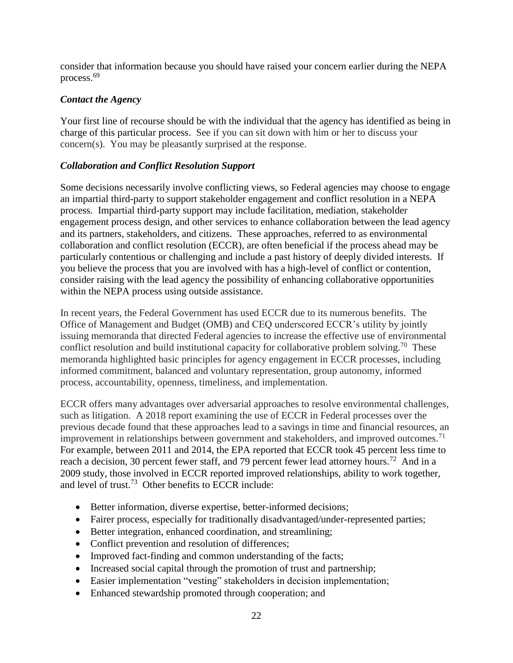consider that information because you should have raised your concern earlier during the NEPA process.<sup>69</sup>

## <span id="page-22-0"></span>*Contact the Agency*

Your first line of recourse should be with the individual that the agency has identified as being in charge of this particular process. See if you can sit down with him or her to discuss your concern(s). You may be pleasantly surprised at the response.

## <span id="page-22-1"></span>*Collaboration and Conflict Resolution Support*

Some decisions necessarily involve conflicting views, so Federal agencies may choose to engage an impartial third-party to support stakeholder engagement and conflict resolution in a NEPA process. Impartial third-party support may include facilitation, mediation, stakeholder engagement process design, and other services to enhance collaboration between the lead agency and its partners, stakeholders, and citizens. These approaches, referred to as environmental collaboration and conflict resolution (ECCR), are often beneficial if the process ahead may be particularly contentious or challenging and include a past history of deeply divided interests. If you believe the process that you are involved with has a high-level of conflict or contention, consider raising with the lead agency the possibility of enhancing collaborative opportunities within the NEPA process using outside assistance.

In recent years, the Federal Government has used ECCR due to its numerous benefits. The Office of Management and Budget (OMB) and CEQ underscored ECCR's utility by jointly issuing memoranda that directed Federal agencies to increase the effective use of environmental conflict resolution and build institutional capacity for collaborative problem solving.<sup>70</sup> These memoranda highlighted basic principles for agency engagement in ECCR processes, including informed commitment, balanced and voluntary representation, group autonomy, informed process, accountability, openness, timeliness, and implementation.

ECCR offers many advantages over adversarial approaches to resolve environmental challenges, such as litigation. A 2018 report examining the use of ECCR in Federal processes over the previous decade found that these approaches lead to a savings in time and financial resources, an improvement in relationships between government and stakeholders, and improved outcomes.<sup>71</sup> For example, between 2011 and 2014, the EPA reported that ECCR took 45 percent less time to reach a decision, 30 percent fewer staff, and 79 percent fewer lead attorney hours.<sup>72</sup> And in a 2009 study, those involved in ECCR reported improved relationships, ability to work together, and level of trust.<sup>73</sup> Other benefits to ECCR include:

- Better information, diverse expertise, better-informed decisions;
- Fairer process, especially for traditionally disadvantaged/under-represented parties;
- Better integration, enhanced coordination, and streamlining;
- Conflict prevention and resolution of differences;
- Improved fact-finding and common understanding of the facts;
- Increased social capital through the promotion of trust and partnership;
- Easier implementation "vesting" stakeholders in decision implementation;
- Enhanced stewardship promoted through cooperation; and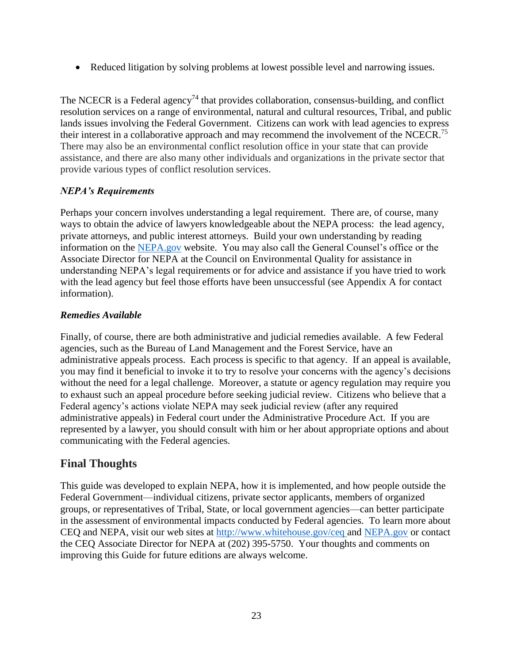• Reduced litigation by solving problems at lowest possible level and narrowing issues.

The NCECR is a Federal agency<sup>74</sup> that provides collaboration, consensus-building, and conflict resolution services on a range of environmental, natural and cultural resources, Tribal, and public lands issues involving the Federal Government. Citizens can work with lead agencies to express their interest in a collaborative approach and may recommend the involvement of the NCECR.<sup>75</sup> There may also be an environmental conflict resolution office in your state that can provide assistance, and there are also many other individuals and organizations in the private sector that provide various types of conflict resolution services.

## <span id="page-23-0"></span>*NEPA's Requirements*

Perhaps your concern involves understanding a legal requirement. There are, of course, many ways to obtain the advice of lawyers knowledgeable about the NEPA process: the lead agency, private attorneys, and public interest attorneys. Build your own understanding by reading information on the [NEPA.gov](https://nepa.gov/) website. You may also call the General Counsel's office or the Associate Director for NEPA at the Council on Environmental Quality for assistance in understanding NEPA's legal requirements or for advice and assistance if you have tried to work with the lead agency but feel those efforts have been unsuccessful (see Appendix A for contact information).

## <span id="page-23-1"></span>*Remedies Available*

Finally, of course, there are both administrative and judicial remedies available. A few Federal agencies, such as the Bureau of Land Management and the Forest Service, have an administrative appeals process. Each process is specific to that agency. If an appeal is available, you may find it beneficial to invoke it to try to resolve your concerns with the agency's decisions without the need for a legal challenge. Moreover, a statute or agency regulation may require you to exhaust such an appeal procedure before seeking judicial review. Citizens who believe that a Federal agency's actions violate NEPA may seek judicial review (after any required administrative appeals) in Federal court under the Administrative Procedure Act. If you are represented by a lawyer, you should consult with him or her about appropriate options and about communicating with the Federal agencies.

## <span id="page-23-2"></span>**Final Thoughts**

This guide was developed to explain NEPA, how it is implemented, and how people outside the Federal Government—individual citizens, private sector applicants, members of organized groups, or representatives of Tribal, State, or local government agencies—can better participate in the assessment of environmental impacts conducted by Federal agencies. To learn more about CEQ and NEPA, visit our web sites at [http://www.whitehouse.gov/ceq a](http://www.whitehouse.gov/ceq)nd [NEPA.gov](http://nepa.gov/) or contact the CEQ Associate Director for NEPA at (202) 395-5750. Your thoughts and comments on improving this Guide for future editions are always welcome.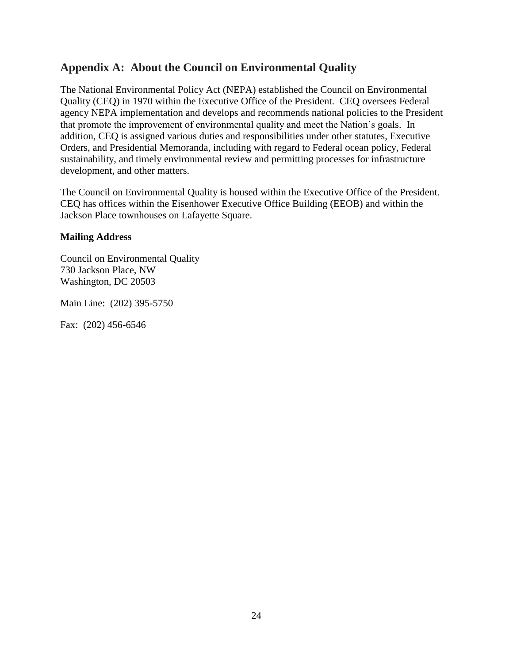## <span id="page-24-0"></span>**Appendix A: About the Council on Environmental Quality**

The National Environmental Policy Act (NEPA) established the Council on Environmental Quality (CEQ) in 1970 within the Executive Office of the President. CEQ oversees Federal agency NEPA implementation and develops and recommends national policies to the President that promote the improvement of environmental quality and meet the Nation's goals. In addition, CEQ is assigned various duties and responsibilities under other statutes, Executive Orders, and Presidential Memoranda, including with regard to Federal ocean policy, Federal sustainability, and timely environmental review and permitting processes for infrastructure development, and other matters.

The Council on Environmental Quality is housed within the Executive Office of the President. CEQ has offices within the Eisenhower Executive Office Building (EEOB) and within the Jackson Place townhouses on Lafayette Square.

## **Mailing Address**

Council on Environmental Quality 730 Jackson Place, NW Washington, DC 20503

Main Line: (202) 395-5750

Fax: (202) 456-6546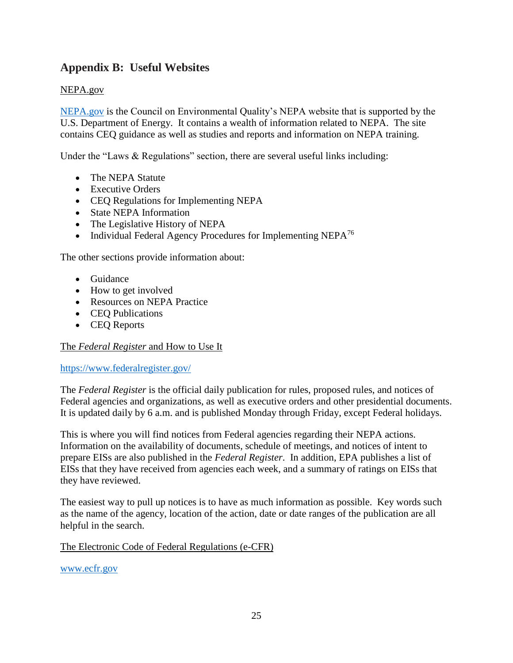## <span id="page-25-0"></span>**Appendix B: Useful Websites**

## NEPA.gov

[NEPA.gov](https://nepa.gov/) is the Council on Environmental Quality's NEPA website that is supported by the U.S. Department of Energy. It contains a wealth of information related to NEPA. The site contains CEQ guidance as well as studies and reports and information on NEPA training.

Under the "Laws & Regulations" section, there are several useful links including:

- The NEPA Statute
- Executive Orders
- CEQ Regulations for Implementing NEPA
- State NEPA Information
- The Legislative History of NEPA
- Individual Federal Agency Procedures for Implementing NEP $A^{76}$

The other sections provide information about:

- Guidance
- How to get involved
- Resources on NEPA Practice
- CEO Publications
- CEQ Reports

## The *Federal Register* and How to Use It

## <https://www.federalregister.gov/>

The *Federal Register* is the official daily publication for rules, proposed rules, and notices of Federal agencies and organizations, as well as executive orders and other presidential documents. It is updated daily by 6 a.m. and is published Monday through Friday, except Federal holidays.

This is where you will find notices from Federal agencies regarding their NEPA actions. Information on the availability of documents, schedule of meetings, and notices of intent to prepare EISs are also published in the *Federal Register*. In addition, EPA publishes a list of EISs that they have received from agencies each week, and a summary of ratings on EISs that they have reviewed.

The easiest way to pull up notices is to have as much information as possible. Key words such as the name of the agency, location of the action, date or date ranges of the publication are all helpful in the search.

## The Electronic Code of Federal Regulations (e-CFR)

## [www.ecfr.gov](http://www.ecfr.gov/)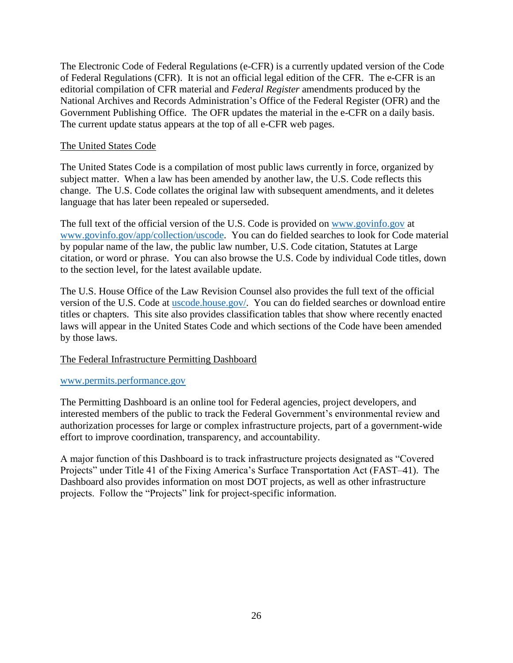The Electronic Code of Federal Regulations (e-CFR) is a currently updated version of the Code of Federal Regulations (CFR). It is not an official legal edition of the CFR. The e-CFR is an editorial compilation of CFR material and *Federal Register* amendments produced by the National Archives and Records Administration's Office of the Federal Register (OFR) and the Government Publishing Office. The OFR updates the material in the e-CFR on a daily basis. The current update status appears at the top of all e-CFR web pages.

## The United States Code

The United States Code is a compilation of most public laws currently in force, organized by subject matter. When a law has been amended by another law, the U.S. Code reflects this change. The U.S. Code collates the original law with subsequent amendments, and it deletes language that has later been repealed or superseded.

The full text of the official version of the U.S. Code is provided on [www.govinfo.gov](http://www.govinfo.gov/) at [www.govinfo.gov/app/collection/uscode.](http://www.govinfo.gov/app/collection/uscode) You can do fielded searches to look for Code material by popular name of the law, the public law number, U.S. Code citation, Statutes at Large citation, or word or phrase. You can also browse the U.S. Code by individual Code titles, down to the section level, for the latest available update.

The U.S. House Office of the Law Revision Counsel also provides the full text of the official version of the U.S. Code at [uscode.house.gov/.](https://uscode.house.gov/) You can do fielded searches or download entire titles or chapters. This site also provides classification tables that show where recently enacted laws will appear in the United States Code and which sections of the Code have been amended by those laws.

## The Federal Infrastructure Permitting Dashboard

## [www.permits.performance.gov](http://www.permits.performance.gov/)

The Permitting Dashboard is an online tool for Federal agencies, project developers, and interested members of the public to track the Federal Government's environmental review and authorization processes for large or complex infrastructure projects, part of a government-wide effort to improve coordination, transparency, and accountability.

A major function of this Dashboard is to track infrastructure projects designated as "Covered Projects" under Title 41 of the Fixing America's Surface Transportation Act (FAST–41). The Dashboard also provides information on most DOT projects, as well as other infrastructure projects. Follow the "Projects" link for project-specific information.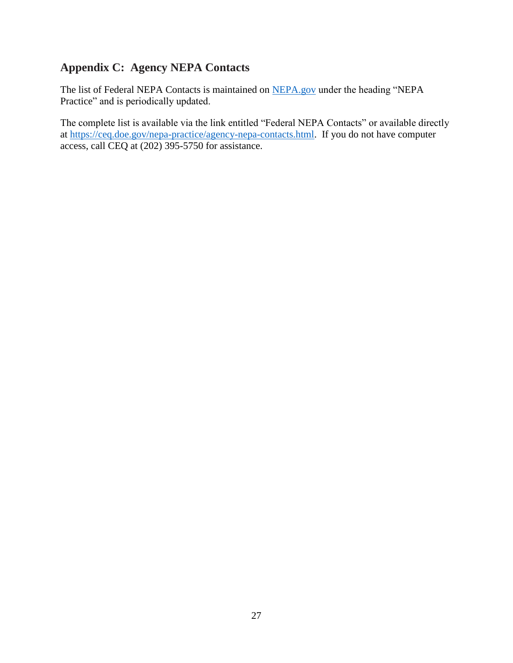## <span id="page-27-0"></span>**Appendix C: Agency NEPA Contacts**

The list of Federal NEPA Contacts is maintained on [NEPA.gov](https://nepa.gov/) under the heading "NEPA Practice" and is periodically updated.

The complete list is available via the link entitled "Federal NEPA Contacts" or available directly at [https://ceq.doe.gov/nepa-practice/agency-nepa-contacts.html.](https://ceq.doe.gov/nepa-practice/agency-nepa-contacts.html) If you do not have computer access, call CEQ at (202) 395-5750 for assistance.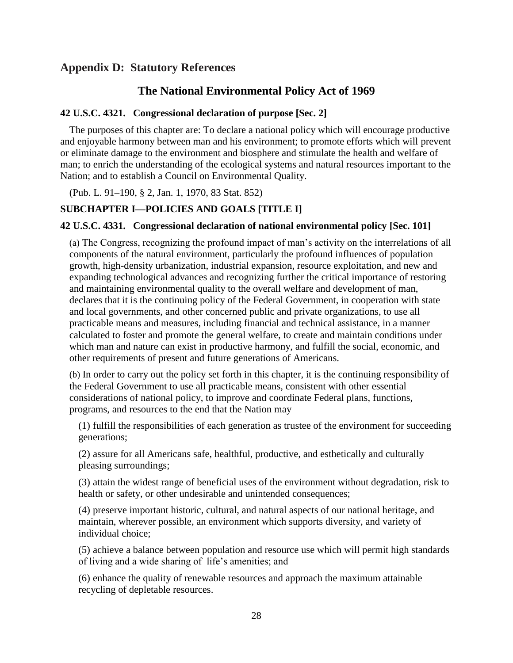## <span id="page-28-0"></span>**Appendix D: Statutory References**

## **The National Environmental Policy Act of 1969**

## **42 U.S.C. 4321. Congressional declaration of purpose [Sec. 2]**

The purposes of this chapter are: To declare a national policy which will encourage productive and enjoyable harmony between man and his environment; to promote efforts which will prevent or eliminate damage to the environment and biosphere and stimulate the health and welfare of man; to enrich the understanding of the ecological systems and natural resources important to the Nation; and to establish a Council on Environmental Quality.

(Pub. L. 91–190, § 2, Jan. 1, 1970, 83 Stat. 852)

## **SUBCHAPTER I—POLICIES AND GOALS [TITLE I]**

## **42 U.S.C. 4331. Congressional declaration of national environmental policy [Sec. 101]**

(a) The Congress, recognizing the profound impact of man's activity on the interrelations of all components of the natural environment, particularly the profound influences of population growth, high-density urbanization, industrial expansion, resource exploitation, and new and expanding technological advances and recognizing further the critical importance of restoring and maintaining environmental quality to the overall welfare and development of man, declares that it is the continuing policy of the Federal Government, in cooperation with state and local governments, and other concerned public and private organizations, to use all practicable means and measures, including financial and technical assistance, in a manner calculated to foster and promote the general welfare, to create and maintain conditions under which man and nature can exist in productive harmony, and fulfill the social, economic, and other requirements of present and future generations of Americans.

(b) In order to carry out the policy set forth in this chapter, it is the continuing responsibility of the Federal Government to use all practicable means, consistent with other essential considerations of national policy, to improve and coordinate Federal plans, functions, programs, and resources to the end that the Nation may—

(1) fulfill the responsibilities of each generation as trustee of the environment for succeeding generations;

(2) assure for all Americans safe, healthful, productive, and esthetically and culturally pleasing surroundings;

(3) attain the widest range of beneficial uses of the environment without degradation, risk to health or safety, or other undesirable and unintended consequences;

(4) preserve important historic, cultural, and natural aspects of our national heritage, and maintain, wherever possible, an environment which supports diversity, and variety of individual choice;

(5) achieve a balance between population and resource use which will permit high standards of living and a wide sharing of life's amenities; and

(6) enhance the quality of renewable resources and approach the maximum attainable recycling of depletable resources.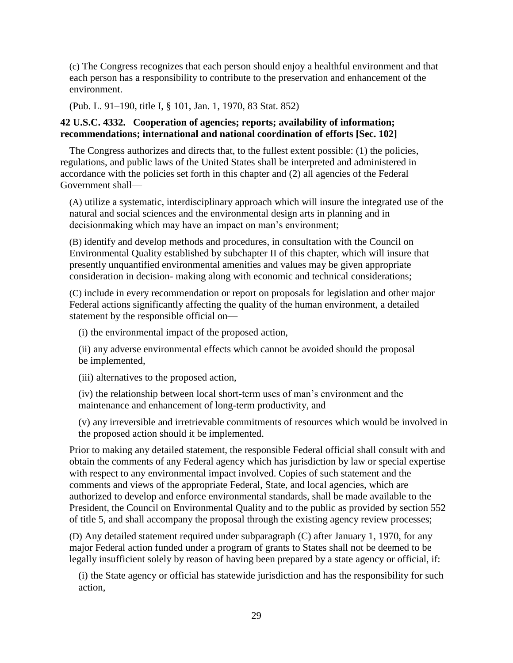(c) The Congress recognizes that each person should enjoy a healthful environment and that each person has a responsibility to contribute to the preservation and enhancement of the environment.

(Pub. L. 91–190, title I, § 101, Jan. 1, 1970, 83 Stat. 852)

## **42 U.S.C. 4332. Cooperation of agencies; reports; availability of information; recommendations; international and national coordination of efforts [Sec. 102]**

The Congress authorizes and directs that, to the fullest extent possible: (1) the policies, regulations, and public laws of the United States shall be interpreted and administered in accordance with the policies set forth in this chapter and (2) all agencies of the Federal Government shall—

(A) utilize a systematic, interdisciplinary approach which will insure the integrated use of the natural and social sciences and the environmental design arts in planning and in decisionmaking which may have an impact on man's environment;

(B) identify and develop methods and procedures, in consultation with the Council on Environmental Quality established by subchapter II of this chapter, which will insure that presently unquantified environmental amenities and values may be given appropriate consideration in decision- making along with economic and technical considerations;

(C) include in every recommendation or report on proposals for legislation and other major Federal actions significantly affecting the quality of the human environment, a detailed statement by the responsible official on—

(i) the environmental impact of the proposed action,

(ii) any adverse environmental effects which cannot be avoided should the proposal be implemented,

(iii) alternatives to the proposed action,

(iv) the relationship between local short-term uses of man's environment and the maintenance and enhancement of long-term productivity, and

(v) any irreversible and irretrievable commitments of resources which would be involved in the proposed action should it be implemented.

Prior to making any detailed statement, the responsible Federal official shall consult with and obtain the comments of any Federal agency which has jurisdiction by law or special expertise with respect to any environmental impact involved. Copies of such statement and the comments and views of the appropriate Federal, State, and local agencies, which are authorized to develop and enforce environmental standards, shall be made available to the President, the Council on Environmental Quality and to the public as provided by section 552 of title 5, and shall accompany the proposal through the existing agency review processes;

(D) Any detailed statement required under subparagraph (C) after January 1, 1970, for any major Federal action funded under a program of grants to States shall not be deemed to be legally insufficient solely by reason of having been prepared by a state agency or official, if:

(i) the State agency or official has statewide jurisdiction and has the responsibility for such action,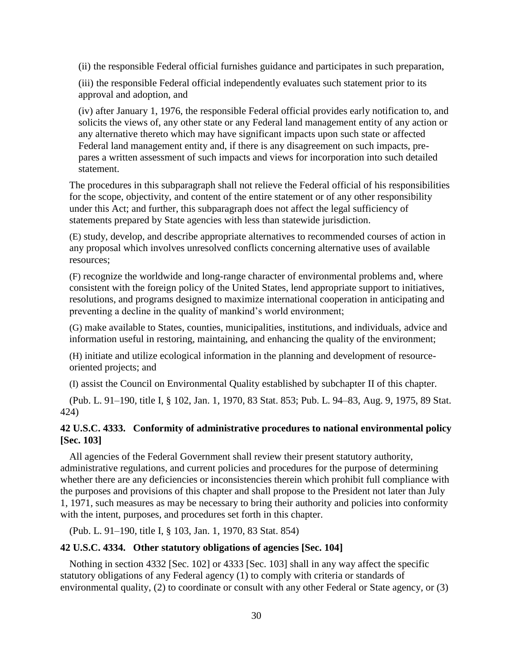(ii) the responsible Federal official furnishes guidance and participates in such preparation,

(iii) the responsible Federal official independently evaluates such statement prior to its approval and adoption, and

(iv) after January 1, 1976, the responsible Federal official provides early notification to, and solicits the views of, any other state or any Federal land management entity of any action or any alternative thereto which may have significant impacts upon such state or affected Federal land management entity and, if there is any disagreement on such impacts, prepares a written assessment of such impacts and views for incorporation into such detailed statement.

The procedures in this subparagraph shall not relieve the Federal official of his responsibilities for the scope, objectivity, and content of the entire statement or of any other responsibility under this Act; and further, this subparagraph does not affect the legal sufficiency of statements prepared by State agencies with less than statewide jurisdiction.

(E) study, develop, and describe appropriate alternatives to recommended courses of action in any proposal which involves unresolved conflicts concerning alternative uses of available resources;

(F) recognize the worldwide and long-range character of environmental problems and, where consistent with the foreign policy of the United States, lend appropriate support to initiatives, resolutions, and programs designed to maximize international cooperation in anticipating and preventing a decline in the quality of mankind's world environment;

(G) make available to States, counties, municipalities, institutions, and individuals, advice and information useful in restoring, maintaining, and enhancing the quality of the environment;

(H) initiate and utilize ecological information in the planning and development of resourceoriented projects; and

(I) assist the Council on Environmental Quality established by subchapter II of this chapter.

(Pub. L. 91–190, title I, § 102, Jan. 1, 1970, 83 Stat. 853; Pub. L. 94–83, Aug. 9, 1975, 89 Stat. 424)

## **42 U.S.C. 4333. Conformity of administrative procedures to national environmental policy [Sec. 103]**

All agencies of the Federal Government shall review their present statutory authority, administrative regulations, and current policies and procedures for the purpose of determining whether there are any deficiencies or inconsistencies therein which prohibit full compliance with the purposes and provisions of this chapter and shall propose to the President not later than July 1, 1971, such measures as may be necessary to bring their authority and policies into conformity with the intent, purposes, and procedures set forth in this chapter.

(Pub. L. 91–190, title I, § 103, Jan. 1, 1970, 83 Stat. 854)

## **42 U.S.C. 4334. Other statutory obligations of agencies [Sec. 104]**

Nothing in section 4332 [Sec. 102] or 4333 [Sec. 103] shall in any way affect the specific statutory obligations of any Federal agency (1) to comply with criteria or standards of environmental quality, (2) to coordinate or consult with any other Federal or State agency, or (3)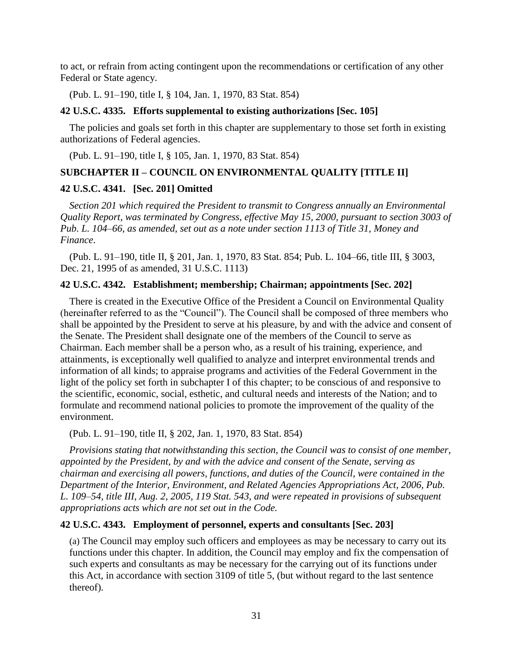to act, or refrain from acting contingent upon the recommendations or certification of any other Federal or State agency.

(Pub. L. 91–190, title I, § 104, Jan. 1, 1970, 83 Stat. 854)

#### **42 U.S.C. 4335. Efforts supplemental to existing authorizations [Sec. 105]**

The policies and goals set forth in this chapter are supplementary to those set forth in existing authorizations of Federal agencies.

(Pub. L. 91–190, title I, § 105, Jan. 1, 1970, 83 Stat. 854)

#### **SUBCHAPTER II – COUNCIL ON ENVIRONMENTAL QUALITY [TITLE II]**

#### **42 U.S.C. 4341. [Sec. 201] Omitted**

*Section 201 which required the President to transmit to Congress annually an Environmental Quality Report, was terminated by Congress, effective May 15, 2000, pursuant to section 3003 of Pub. L. 104–66, as amended, set out as a note under section 1113 of Title 31, Money and Finance*.

(Pub. L. 91–190, title II, § 201, Jan. 1, 1970, 83 Stat. 854; Pub. L. 104–66, title III, § 3003, Dec. 21, 1995 of as amended, 31 U.S.C. 1113)

#### **42 U.S.C. 4342. Establishment; membership; Chairman; appointments [Sec. 202]**

There is created in the Executive Office of the President a Council on Environmental Quality (hereinafter referred to as the "Council"). The Council shall be composed of three members who shall be appointed by the President to serve at his pleasure, by and with the advice and consent of the Senate. The President shall designate one of the members of the Council to serve as Chairman. Each member shall be a person who, as a result of his training, experience, and attainments, is exceptionally well qualified to analyze and interpret environmental trends and information of all kinds; to appraise programs and activities of the Federal Government in the light of the policy set forth in subchapter I of this chapter; to be conscious of and responsive to the scientific, economic, social, esthetic, and cultural needs and interests of the Nation; and to formulate and recommend national policies to promote the improvement of the quality of the environment.

(Pub. L. 91–190, title II, § 202, Jan. 1, 1970, 83 Stat. 854)

*Provisions stating that notwithstanding this section, the Council was to consist of one member, appointed by the President, by and with the advice and consent of the Senate, serving as chairman and exercising all powers, functions, and duties of the Council, were contained in the Department of the Interior, Environment, and Related Agencies Appropriations Act, 2006, Pub. L. 109–54, title III, Aug. 2, 2005, 119 Stat. 543, and were repeated in provisions of subsequent appropriations acts which are not set out in the Code.*

#### **42 U.S.C. 4343. Employment of personnel, experts and consultants [Sec. 203]**

(a) The Council may employ such officers and employees as may be necessary to carry out its functions under this chapter. In addition, the Council may employ and fix the compensation of such experts and consultants as may be necessary for the carrying out of its functions under this Act, in accordance with section 3109 of title 5, (but without regard to the last sentence thereof).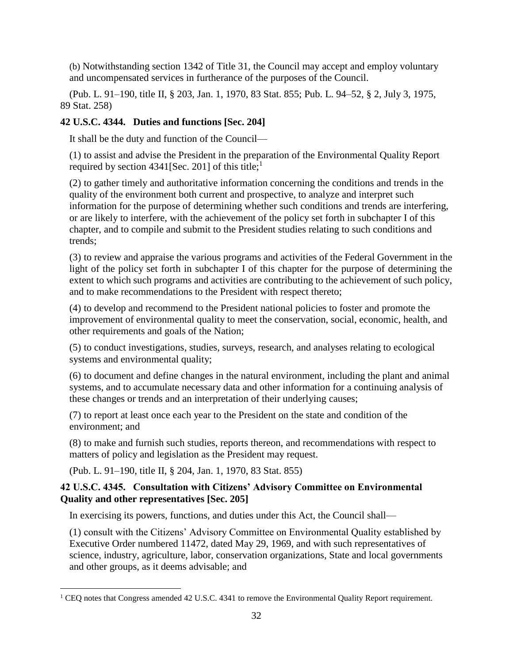(b) Notwithstanding section 1342 of Title 31, the Council may accept and employ voluntary and uncompensated services in furtherance of the purposes of the Council.

(Pub. L. 91–190, title II, § 203, Jan. 1, 1970, 83 Stat. 855; Pub. L. 94–52, § 2, July 3, 1975, 89 Stat. 258)

## **42 U.S.C. 4344. Duties and functions [Sec. 204]**

It shall be the duty and function of the Council—

(1) to assist and advise the President in the preparation of the Environmental Quality Report required by section  $4341$ [Sec. 201] of this title;<sup>1</sup>

(2) to gather timely and authoritative information concerning the conditions and trends in the quality of the environment both current and prospective, to analyze and interpret such information for the purpose of determining whether such conditions and trends are interfering, or are likely to interfere, with the achievement of the policy set forth in subchapter I of this chapter, and to compile and submit to the President studies relating to such conditions and trends;

(3) to review and appraise the various programs and activities of the Federal Government in the light of the policy set forth in subchapter I of this chapter for the purpose of determining the extent to which such programs and activities are contributing to the achievement of such policy, and to make recommendations to the President with respect thereto;

(4) to develop and recommend to the President national policies to foster and promote the improvement of environmental quality to meet the conservation, social, economic, health, and other requirements and goals of the Nation;

(5) to conduct investigations, studies, surveys, research, and analyses relating to ecological systems and environmental quality;

(6) to document and define changes in the natural environment, including the plant and animal systems, and to accumulate necessary data and other information for a continuing analysis of these changes or trends and an interpretation of their underlying causes;

(7) to report at least once each year to the President on the state and condition of the environment; and

(8) to make and furnish such studies, reports thereon, and recommendations with respect to matters of policy and legislation as the President may request.

(Pub. L. 91–190, title II, § 204, Jan. 1, 1970, 83 Stat. 855)

## **42 U.S.C. 4345. Consultation with Citizens' Advisory Committee on Environmental Quality and other representatives [Sec. 205]**

In exercising its powers, functions, and duties under this Act, the Council shall—

(1) consult with the Citizens' Advisory Committee on Environmental Quality established by Executive Order numbered 11472, dated May 29, 1969, and with such representatives of science, industry, agriculture, labor, conservation organizations, State and local governments and other groups, as it deems advisable; and

 $\overline{a}$ <sup>1</sup> CEQ notes that Congress amended 42 U.S.C. 4341 to remove the Environmental Quality Report requirement.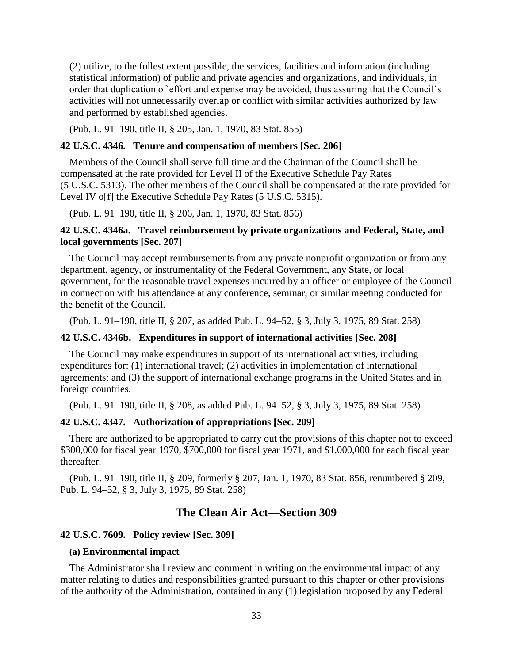(2) utilize, to the fullest extent possible, the services, facilities and information (including statistical information) of public and private agencies and organizations, and individuals, in order that duplication of effort and expense may be avoided, thus assuring that the Council's activities will not unnecessarily overlap or conflict with similar activities authorized by law and performed by established agencies.

(Pub. L. 91–190, title II, § 205, Jan. 1, 1970, 83 Stat. 855)

#### **42 U.S.C. 4346. Tenure and compensation of members [Sec. 206]**

Members of the Council shall serve full time and the Chairman of the Council shall be compensated at the rate provided for Level II of the Executive Schedule Pay Rates (5 U.S.C. 5313). The other members of the Council shall be compensated at the rate provided for Level IV o[f] the Executive Schedule Pay Rates (5 U.S.C. 5315).

(Pub. L. 91–190, title II, § 206, Jan. 1, 1970, 83 Stat. 856)

#### **42 U.S.C. 4346a. Travel reimbursement by private organizations and Federal, State, and local governments [Sec. 207]**

The Council may accept reimbursements from any private nonprofit organization or from any department, agency, or instrumentality of the Federal Government, any State, or local government, for the reasonable travel expenses incurred by an officer or employee of the Council in connection with his attendance at any conference, seminar, or similar meeting conducted for the benefit of the Council.

(Pub. L. 91–190, title II, § 207, as added Pub. L. 94–52, § 3, July 3, 1975, 89 Stat. 258)

#### **42 U.S.C. 4346b. Expenditures in support of international activities [Sec. 208]**

The Council may make expenditures in support of its international activities, including expenditures for: (1) international travel; (2) activities in implementation of international agreements; and (3) the support of international exchange programs in the United States and in foreign countries.

(Pub. L. 91–190, title II, § 208, as added Pub. L. 94–52, § 3, July 3, 1975, 89 Stat. 258)

#### **42 U.S.C. 4347. Authorization of appropriations [Sec. 209]**

There are authorized to be appropriated to carry out the provisions of this chapter not to exceed \$300,000 for fiscal year 1970, \$700,000 for fiscal year 1971, and \$1,000,000 for each fiscal year thereafter.

(Pub. L. 91–190, title II, § 209, formerly § 207, Jan. 1, 1970, 83 Stat. 856, renumbered § 209, Pub. L. 94–52, § 3, July 3, 1975, 89 Stat. 258)

## **The Clean Air Act—Section 309**

#### **42 U.S.C. 7609. Policy review [Sec. 309]**

#### **(a) Environmental impact**

The Administrator shall review and comment in writing on the environmental impact of any matter relating to duties and responsibilities granted pursuant to this chapter or other provisions of the authority of the Administration, contained in any (1) legislation proposed by any Federal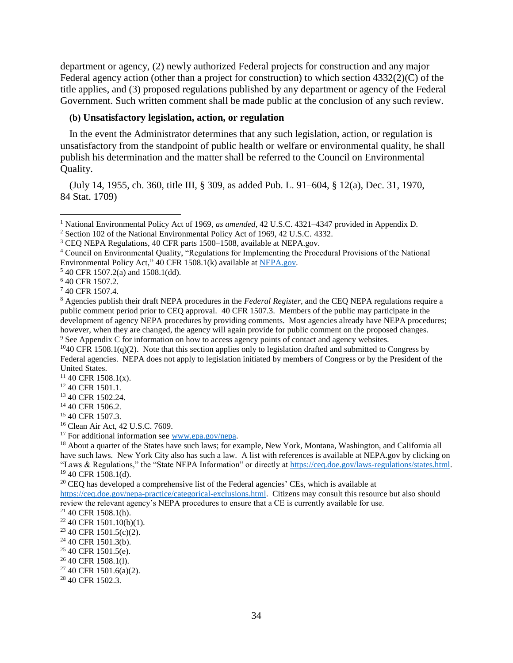department or agency, (2) newly authorized Federal projects for construction and any major Federal agency action (other than a project for construction) to which section 4332(2)(C) of the title applies, and (3) proposed regulations published by any department or agency of the Federal Government. Such written comment shall be made public at the conclusion of any such review.

#### **(b) Unsatisfactory legislation, action, or regulation**

In the event the Administrator determines that any such legislation, action, or regulation is unsatisfactory from the standpoint of public health or welfare or environmental quality, he shall publish his determination and the matter shall be referred to the Council on Environmental Quality.

(July 14, 1955, ch. 360, title III, § 309, as added Pub. L. 91–604, § 12(a), Dec. 31, 1970, 84 Stat. 1709)

 $\overline{a}$ 

<sup>1</sup> National Environmental Policy Act of 1969, *as amended*, 42 U.S.C. 4321–4347 provided in Appendix D*.*

<sup>2</sup> Section 102 of the National Environmental Policy Act of 1969, 42 U.S.C. 4332.

<sup>3</sup> CEQ NEPA Regulations, 40 CFR parts 1500–1508, available at NEPA.gov.

<sup>4</sup> Council on Environmental Quality, "Regulations for Implementing the Procedural Provisions of the National Environmental Policy Act," 40 CFR 1508.1(k) available a[t NEPA.gov.](http://www.nepa.gov/)

<sup>5</sup> 40 CFR 1507.2(a) and 1508.1(dd).

<sup>6</sup> 40 CFR 1507.2.

<sup>7</sup> 40 CFR 1507.4.

<sup>8</sup> Agencies publish their draft NEPA procedures in the *Federal Register*, and the CEQ NEPA regulations require a public comment period prior to CEQ approval. 40 CFR 1507.3. Members of the public may participate in the development of agency NEPA procedures by providing comments. Most agencies already have NEPA procedures; however, when they are changed, the agency will again provide for public comment on the proposed changes. <sup>9</sup> See Appendix C for information on how to access agency points of contact and agency websites.

 $1040$  CFR 1508.1(q)(2). Note that this section applies only to legislation drafted and submitted to Congress by Federal agencies. NEPA does not apply to legislation initiated by members of Congress or by the President of the United States.

 $11$  40 CFR 1508.1(x).

<sup>12</sup> 40 CFR 1501.1.

<sup>&</sup>lt;sup>13</sup> 40 CFR 1502.24.

<sup>&</sup>lt;sup>14</sup> 40 CFR 1506.2.

<sup>&</sup>lt;sup>15</sup> 40 CFR 1507.3.

<sup>&</sup>lt;sup>16</sup> Clean Air Act, 42 U.S.C. 7609.

<sup>&</sup>lt;sup>17</sup> For additional information see [www.epa.gov/nepa.](http://www.epa.gov/nepa)

<sup>&</sup>lt;sup>18</sup> About a quarter of the States have such laws; for example, New York, Montana, Washington, and California all have such laws. New York City also has such a law. A list with references is available at NEPA.gov by clicking on "Laws & Regulations," the "State NEPA Information" or directly at [https://ceq.doe.gov/laws-regulations/states.html.](https://ceq.doe.gov/laws-regulations/states.html) <sup>19</sup> 40 CFR 1508.1(d).

 $20$  CEO has developed a comprehensive list of the Federal agencies' CEs, which is available at

[https://ceq.doe.gov/nepa-practice/categorical-exclusions.html.](https://ceq.doe.gov/nepa-practice/categorical-exclusions.html) Citizens may consult this resource but also should review the relevant agency's NEPA procedures to ensure that a CE is currently available for use.

 $21$  40 CFR 1508.1(h).

<sup>22</sup> 40 CFR 1501.10(b)(1).

<sup>23</sup> 40 CFR 1501.5(c)(2).

 $24$  40 CFR 1501.3(b).

<sup>25</sup> 40 CFR 1501.5(e).

<sup>26</sup> 40 CFR 1508.1(l).

 $27\,40$  CFR 1501.6(a)(2).

<sup>28</sup> 40 CFR 1502.3.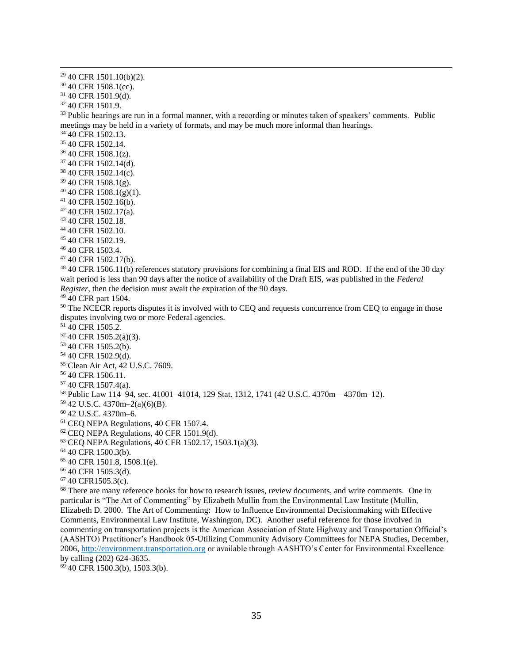40 CFR 1501.10(b)(2). 40 CFR 1508.1(cc). 40 CFR 1501.9(d). <sup>32</sup> 40 CFR 1501.9. <sup>33</sup> Public hearings are run in a formal manner, with a recording or minutes taken of speakers' comments. Public meetings may be held in a variety of formats, and may be much more informal than hearings. 40 CFR 1502.13. 40 CFR 1502.14. 40 CFR 1508.1(z). 40 CFR 1502.14(d). 40 CFR 1502.14(c). 40 CFR 1508.1(g). 40 CFR 1508.1(g)(1). 40 CFR 1502.16(b). 40 CFR 1502.17(a). 40 CFR 1502.18. 40 CFR 1502.10. 40 CFR 1502.19. 40 CFR 1503.4. 40 CFR 1502.17(b). <sup>48</sup> 40 CFR 1506.11(b) references statutory provisions for combining a final EIS and ROD. If the end of the 30 day wait period is less than 90 days after the notice of availability of the Draft EIS, was published in the *Federal Register*, then the decision must await the expiration of the 90 days. 40 CFR part 1504. <sup>50</sup> The NCECR reports disputes it is involved with to CEQ and requests concurrence from CEQ to engage in those disputes involving two or more Federal agencies. 40 CFR 1505.2. 40 CFR 1505.2(a)(3). 40 CFR 1505.2(b). 40 CFR 1502.9(d). Clean Air Act, 42 U.S.C. 7609. 40 CFR 1506.11. 40 CFR 1507.4(a). Public Law 114–94, sec. 41001–41014, 129 Stat. 1312, 1741 (42 U.S.C. 4370m—4370m–12). 42 U.S.C. 4370m-2(a)(6)(B). 42 U.S.C. 4370m–6. CEQ NEPA Regulations, 40 CFR 1507.4. CEQ NEPA Regulations, 40 CFR 1501.9(d). CEQ NEPA Regulations, 40 CFR 1502.17, 1503.1(a)(3). 40 CFR 1500.3(b). 40 CFR 1501.8, 1508.1(e). 40 CFR 1505.3(d). 40 CFR1505.3(c). <sup>68</sup> There are many reference books for how to research issues, review documents, and write comments. One in particular is "The Art of Commenting" by Elizabeth Mullin from the Environmental Law Institute (Mullin, Elizabeth D. 2000. The Art of Commenting: How to Influence Environmental Decisionmaking with Effective Comments, Environmental Law Institute, Washington, DC). Another useful reference for those involved in commenting on transportation projects is the American Association of State Highway and Transportation Official's (AASHTO) Practitioner's Handbook 05-Utilizing Community Advisory Committees for NEPA Studies, December, 2006, [http://environment.transportation.org](http://environment.transportation.org/) or available through AASHTO's Center for Environmental Excellence by calling (202) 624-3635.

40 CFR 1500.3(b), 1503.3(b).

 $\overline{a}$